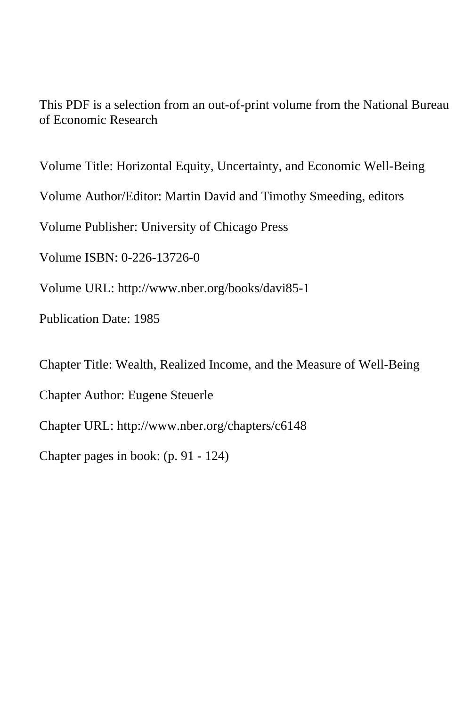This PDF is a selection from an out-of-print volume from the National Bureau of Economic Research

Volume Title: Horizontal Equity, Uncertainty, and Economic Well-Being Volume Author/Editor: Martin David and Timothy Smeeding, editors Volume Publisher: University of Chicago Press Volume ISBN: 0-226-13726-0 Volume URL: http://www.nber.org/books/davi85-1 Publication Date: 1985

Chapter Title: Wealth, Realized Income, and the Measure of Well-Being

Chapter Author: Eugene Steuerle

Chapter URL: http://www.nber.org/chapters/c6148

Chapter pages in book: (p. 91 - 124)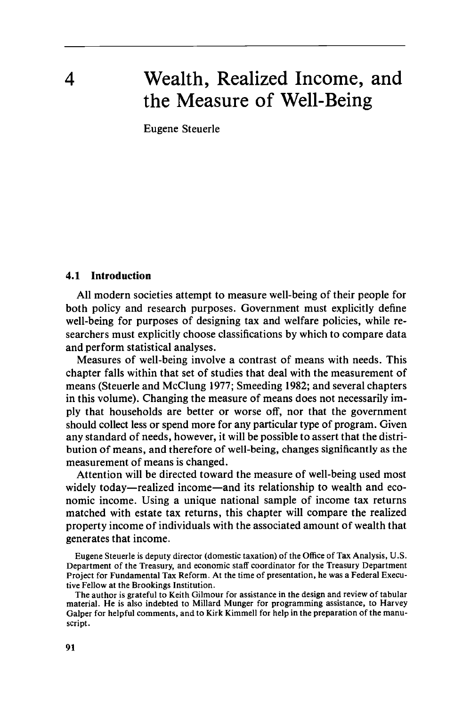# 4 Wealth, Realized Income, and the Measure of Well-Being

Eugene Steuerle

#### **4.1 Introduction**

All modern societies attempt to measure well-being of their people for both policy and research purposes. Government must explicitly define well-being for purposes of designing tax and welfare policies, while researchers must explicitly choose classifications by which to compare data and perform statistical analyses.

Measures of well-being involve a contrast of means with needs. This chapter falls within that set of studies that deal with the measurement of means (Steuerle and McClung **1977;** Smeeding **1982;** and several chapters in this volume). Changing the measure of means does not necessarily imply that households are better or worse **off,** nor that the government should collect less or spend more for any particular type of program. Given any standard of needs, however, it will be possible to assert that the distribution of means, and therefore of well-being, changes significantly as the measurement of means is changed.

Attention will be directed toward the measure of well-being used most widely today—realized income—and its relationship to wealth and economic income. Using a unique national sample of income tax returns matched with estate tax returns, this chapter will compare the realized property income of individuals with the associated amount of wealth that generates that income.

Eugene Steuerle is deputy director (domestic taxation) of the Office of Tax Analysis, U.S. Department of the Treasury, and economic staff coordinator for the Treasury Department Project for Fundamental Tax Reform. At the time of presentation, he was a Federal Executive Fellow at the Brookings Institution.

The author is grateful to Keith Gilmour for assistance in the design and review of tabular material. He is also indebted to Millard Munger for programming assistance, to Harvey Galper for helpful comments, and to Kirk Kimmell for help in the preparation of the manuscript.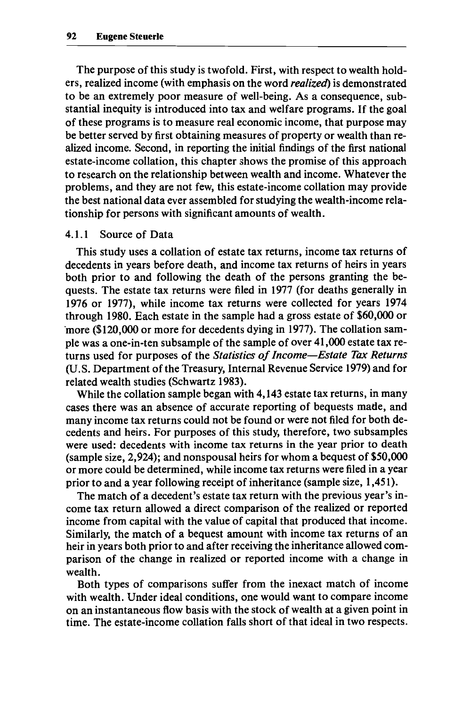The purpose of this study is twofold. First, with respect to wealth holders, realized income (with emphasis on the word *realized)* is demonstrated to be an extremely poor measure of well-being. As a consequence, substantial inequity is introduced into tax and welfare programs. If the goal of these programs is to measure real economic income, that purpose may be better served by first obtaining measures of property or wealth than realized income. Second, in reporting the initial findings of the first national estate-income collation, this chapter shows the promise of this approach to research on the relationship between wealth and income. Whatever the problems, and they are not few, this estate-income collation may provide the best national data ever assembled for studying the wealth-income relationship for persons with significant amounts of wealth.

#### **4.1.1** Source of Data

This study uses a collation of estate tax returns, income tax returns of decedents in years before death, and income tax returns of heirs in years both prior to and following the death of the persons granting the bequests. The estate tax returns were filed in **1977** (for deaths generally in **1976** or **1977),** while income tax returns were collected for years **1974**  through **1980.** Each estate in the sample had a gross estate of **\$60,000** or more **(\$120,000** or more for decedents dying in **1977).** The collation sample was a one-in-ten subsample of the sample of over **41** *,000* estate tax returns used for purposes of the *Statistics of Income-Estate Tax Returns*  (US. Department of the Treasury, Internal Revenue Service **1979)** and for related wealth studies (Schwartz **1983).** 

While the collation sample began with **4,143** estate tax returns, in many cases there was an absence of accurate reporting of bequests made, and many income tax returns could not be found or were not filed for both decedents and heirs. For purposes of this study, therefore, two subsamples were used: decedents with income tax returns in the year prior to death (sample size, **2,924);** and nonspousal heirs for whom a bequest of *\$50,000*  or more could be determined, while income tax returns were filed in a year prior to and a year following receipt of inheritance (sample size, **1,45 1).** 

The match of a decedent's estate tax return with the previous year's income tax return allowed a direct comparison of the realized or reported income from capital with the value of capital that produced that income. Similarly, the match of a bequest amount with income tax returns of an heir in years both prior to and after receiving the inheritance allowed comparison of the change in realized or reported income with a change in wealth.

Both types of comparisons suffer from the inexact match of income with wealth. Under ideal conditions, one would want to compare income on an instantaneous flow basis with the stock of wealth at a given point in time. The estate-income collation falls short of that ideal in two respects.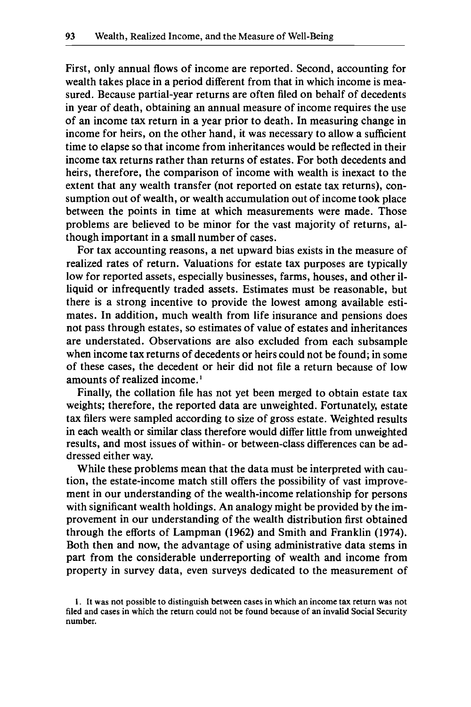First, only annual flows of income are reported. Second, accounting for wealth takes place in a period different from that in which income is measured. Because partial-year returns are often filed on behalf of decedents in year of death, obtaining an annual measure of income requires the use of an income tax return in a year prior to death. In measuring change in income for heirs, on the other hand, it was necessary to allow a sufficient time to elapse so that income from inheritances would be reflected in their income tax returns rather than returns of estates. For both decedents and heirs, therefore, the comparison of income with wealth is inexact to the extent that any wealth transfer (not reported on estate tax returns), consumption out of wealth, or wealth accumulation out of income took place between the points in time at which measurements were made. Those problems are believed to be minor for the vast majority of returns, although important in a small number of cases.

For tax accounting reasons, a net upward bias exists in the measure of realized rates of return. Valuations for estate tax purposes are typically low for reported assets, especially businesses, farms, houses, and other illiquid or infrequently traded assets. Estimates must be reasonable, but there is a strong incentive to provide the lowest among available estimates. In addition, much wealth from life insurance and pensions does not pass through estates, so estimates of value of estates and inheritances are understated. Observations are also excluded from each subsample when income tax returns of decedents or heirs could not be found; in some of these cases, the decedent or heir did not file a return because of low amounts of realized income.'

Finally, the collation file has not yet been merged to obtain estate tax weights; therefore, the reported data are unweighted. Fortunately, estate tax filers were sampled according to size of gross estate. Weighted results in each wealth or similar class therefore would differ little from unweighted results, and most issues of within- or between-class differences can be addressed either way.

While these problems mean that the data must be interpreted with caution, the estate-income match still offers the possibility of vast improvement in our understanding of the wealth-income relationship for persons with significant wealth holdings. An analogy might be provided by the improvement in our understanding of the wealth distribution first obtained through the efforts of Lampman **(1962)** and Smith and Franklin **(1974).**  Both then and now, the advantage of using administrative data stems in part from the considerable underreporting of wealth and income from property in survey data, even surveys dedicated to the measurement of

**<sup>1.</sup> It was not possible to distinguish between cases in which an income tax return was not filed and cases in which the return could not be found because of an invalid Social Security number.**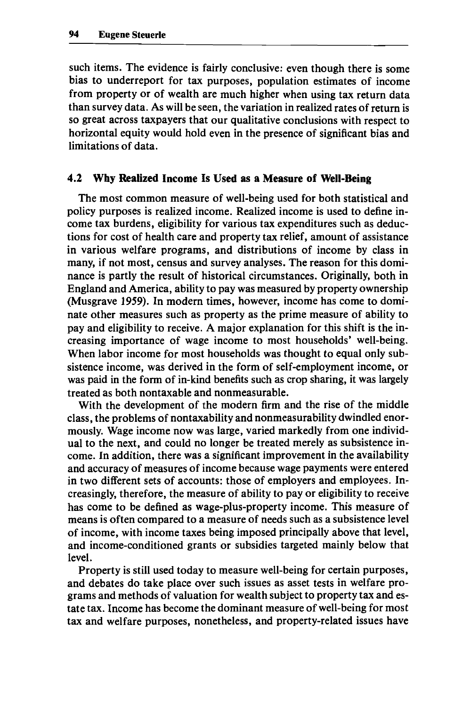such items. The evidence is fairly conclusive: even though there is some bias to underreport for tax purposes, population estimates of income from property or of wealth are much higher when using tax return data than survey data. As will be seen, the variation in realized rates of return is so great across taxpayers that our qualitative conclusions with respect to horizontal equity would hold even in the presence of significant bias and limitations of data.

#### **4.2 Why Realized Income Is Used as a Measure of Well-Being**

The most common measure of well-being used for both statistical and policy purposes is realized income. Realized income is used to define income tax burdens, eligibility for various tax expenditures such as deductions for cost of health care and property tax relief, amount of assistance in various welfare programs, and distributions of income by class in many, if not most, census and survey analyses. The reason for this dominance is partly the result of historical circumstances. Originally, both in England and America, ability to pay was measured by property ownership (Musgrave *1959).* In modern times, however, income has come to dominate other measures such as property as the prime measure of ability to pay and eligibility to receive. A major explanation for this shift is the increasing importance of wage income to most households' well-being. When labor income for most households was thought to equal only subsistence income, was derived in the form of self-employment income, or was paid in the form of in-kind benefits such **as** crop sharing, it **was** largely treated as both nontaxable and nonmeasurable.

With the development of the modern firm and the rise of the middle class, the problems of nontaxability and nonmeasurability dwindled enormously. Wage income now was large, varied markedly from one individual to the next, and could no longer be treated merely as subsistence income. In addition, there was a significant improvement in the availability and accuracy of measures of income because wage payments were entered in two different sets of accounts: those of employers and employees. **In**creasingly, therefore, the measure of ability to pay or eligibility to receive has come to be defined as wage-plus-property income. This measure of means is often compared to a measure of needs such as a subsistence level of income, with income taxes being imposed principally above that level, and income-conditioned grants or subsidies targeted mainly below that level.

Property is still used today to measure well-being for certain purposes, and debates do take place over such issues as asset tests in welfare programs and methods of valuation for wealth subject to property tax and estate tax. Income has become the dominant measure of well-being for most tax and welfare purposes, nonetheless, **and** property-related issues have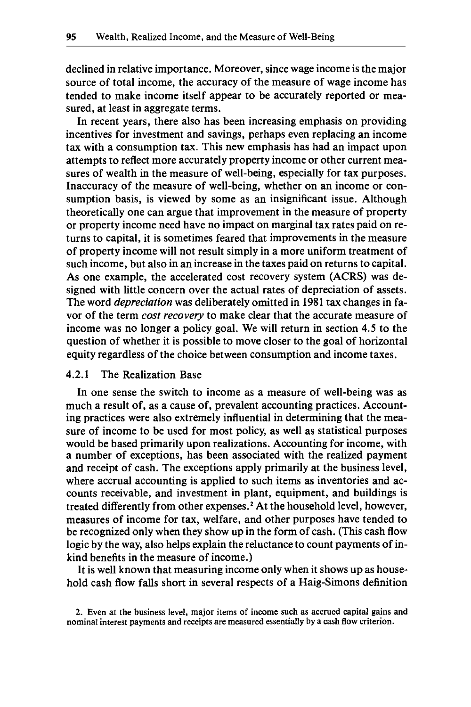declined in relative importance. Moreover, since wage income is the major source of total income, the accuracy of the measure of wage income has tended to make income itself appear to be accurately reported or measured, at least in aggregate terms.

In recent years, there also has been increasing emphasis on providing incentives for investment and savings, perhaps even replacing an income tax with a consumption tax. This new emphasis has had an impact upon attempts to reflect more accurately property income or other current measures of wealth in the measure of well-being, especially for tax purposes. Inaccuracy of the measure of well-being, whether on an income or consumption basis, is viewed by some as an insignificant issue. Although theoretically one can argue that improvement in the measure of property or property income need have no impact on marginal tax rates paid on returns to capital, it is sometimes feared that improvements in the measure of property income will not result simply in a more uniform treatment of such income, but also in an increase in the taxes paid on returns to capital. As one example, the accelerated cost recovery system (ACRS) was designed with little concern over the actual rates of depreciation of assets. The word *depreciation* was deliberately omitted in **1981** tax changes in favor of the term cost *recovery* to make clear that the accurate measure of income was no longer a policy goal. We will return in section **4.5** to the question of whether it is possible to move closer to the goal of horizontal equity regardless of the choice between consumption and income taxes.

#### **4.2.1** The Realization Base

In one sense the switch to income as a measure of well-being was as much a result of, as a cause of, prevalent accounting practices. Accounting practices were also extremely influential in determining that the measure of income to be used for most policy, as well as statistical purposes would be based primarily upon realizations. Accounting for income, with a number of exceptions, has been associated with the realized payment and receipt of cash. The exceptions apply primarily at the business level, where accrual accounting is applied to such items as inventories and accounts receivable, and investment in plant, equipment, and buildings is treated differently from other expenses.<sup>2</sup> At the household level, however, measures of income for tax, welfare, and other purposes have tended to be recognized only when they show up in the form of cash. (This cash flow logic by the way, also helps explain the reluctance to count payments of inkind benefits in the measure of income.)

It is well known that measuring income only when it shows up as household cash flow falls short in several respects of a Haig-Simons definition

**<sup>2.</sup> Even at the business level, major items** of **income such as accrued capital gains and nominal interest payments and receipts are measured essentially by a cash flow criterion.**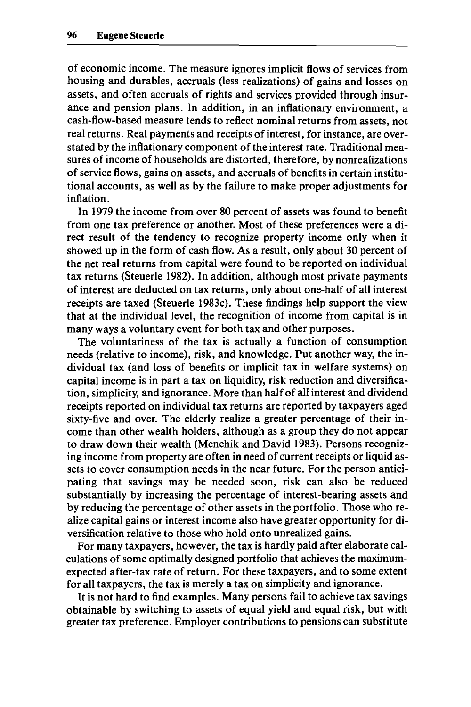of economic income. The measure ignores implicit flows of services from housing and durables, accruals (less realizations) of gains and losses on assets, and often accruals of rights and services provided through insurance and pension plans. In addition, in an inflationary environment, a cash-flow-based measure tends to reflect nominal returns from assets, not real returns. Real payments and receipts of interest, for instance, are overstated by the inflationary component of the interest rate. Traditional measures of income of households are distorted, therefore, by nonrealizations of service flows, gains on assets, and accruals of benefits in certain institutional accounts, as well as by the failure to make proper adjustments for inflation.

In 1979 the income from over **80** percent of assets was found to benefit from one tax preference or another. Most of these preferences were a direct result of the tendency to recognize property income only when it showed up in the form of cash flow. As a result, only about **30** percent of the net real returns from capital were found to be reported on individual tax returns (Steuerle 1982). In addition, although most private payments of interest are deducted on tax returns, only about one-half of all interest receipts are taxed (Steuerle 1983c). These findings help support the view that at the individual level, the recognition of income from capital is in many ways a voluntary event for both tax and other purposes.

The voluntariness of the tax is actually a function of consumption needs (relative to income), risk, and knowledge. Put another way, the individual tax (and loss of benefits or implicit tax in welfare systems) on capital income is in part a tax on liquidity, risk reduction and diversification, simplicity, and ignorance. More than half of all interest and dividend receipts reported on individual tax returns are reported by taxpayers aged sixty-five and over. The elderly realize a greater percentage of their income than other wealth holders, although as a group they do not appear to draw down their wealth (Menchik and David **1983).** Persons recognizing income from property are often in need of current receipts or liquid assets to cover consumption needs in the near future. For the person anticipating that savings may be needed soon, risk can also be reduced substantially by increasing the percentage of interest-bearing assets and by reducing the percentage of other assets in the portfolio. Those who realize capital gains or interest income also have greater opportunity for diversification relative to those who hold onto unrealized gains.

For many taxpayers, however, the tax is hardly paid after elaborate calculations of some optimally designed portfolio that achieves the maximumexpected after-tax rate of return. For these taxpayers, and to some extent for all taxpayers, the tax is merely a tax on simplicity and ignorance.

It is not hard to find examples. Many persons fail to achieve tax savings obtainable by switching to assets of equal yield and equal risk, but with greater tax preference. Employer contributions to pensions can substitute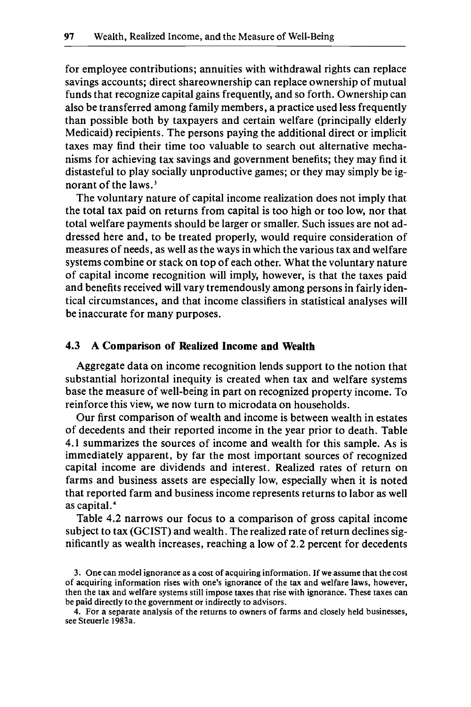for employee contributions; annuities with withdrawal rights can replace savings accounts; direct shareownership can replace ownership of mutual funds that recognize capital gains frequently, and so forth. Ownership can also be transferred among family members, a practice used less frequently than possible both by taxpayers and certain welfare (principally elderly Medicaid) recipients. The persons paying the additional direct or implicit taxes may find their time too valuable to search out alternative mechanisms for achieving tax savings and government benefits; they may find it distasteful to play socially unproductive games; or they may simply be ignorant of the laws.<sup>3</sup>

The voluntary nature of capital income realization does not imply that the total tax paid on returns from capital is too high or too low, nor that total welfare payments should be larger or smaller. Such issues are not addressed here and, to be treated properly, would require consideration of measures of needs, as well as the ways in which the various tax and welfare systems combine or stack on top of each other. What the voluntary nature of capital income recognition will imply, however, is that the taxes paid and benefits received will vary tremendously among persons in fairly identical circumstances, and that income classifiers in statistical analyses will be inaccurate for many purposes.

### **4.3 A Comparison of Realized Income and Wealth**

Aggregate data on income recognition lends support to the notion that substantial horizontal inequity is created when tax and welfare systems base the measure of well-being in part on recognized property income. To reinforce this view, we now turn to microdata on households.

Our first comparison of wealth and income is between wealth in estates of decedents and their reported income in the year prior to death. Table **4.1** summarizes the sources of income and wealth for this sample. As is immediately apparent, by far the most important sources of recognized capital income are dividends and interest. Realized rates *of* return on farms and business assets are especially low, especially when it is noted that reported farm and business income represents returns to labor as well as capital.

Table **4.2** narrows our focus to a comparison of gross capital income subject to tax (GCIST) and wealth. The realized rate of return declines significantly as wealth increases, reaching a low of **2.2** percent for decedents

**4. For a separate analysis of the returns to owners of farms and closely held businesses, see Steuerle 1983a.** 

**<sup>3.</sup> One can model ignorance as a cost of acquiring information. If we assume that the cost of acquiring information rises with one's ignorance of the tax and welfare laws, however, then the tax and welfare systems still impose taxes that rise with ignorance. These taxes can be paid directly to the government or indirectly to advisors.**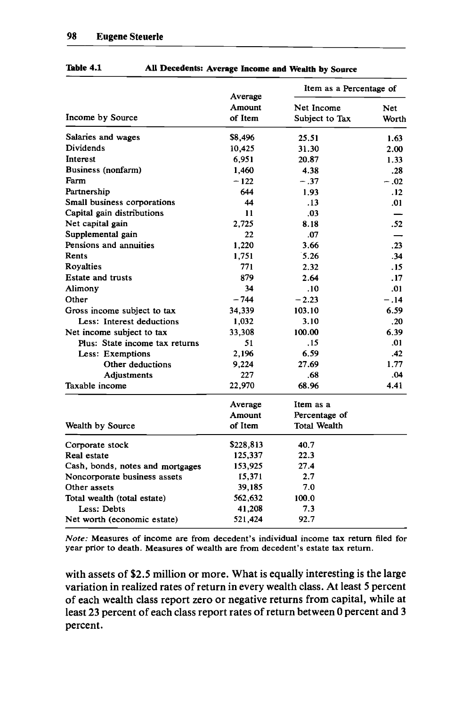|                                  |                              | Item as a Percentage of |        |  |  |
|----------------------------------|------------------------------|-------------------------|--------|--|--|
| Income by Source                 | Average<br>Amount<br>of Item | Net Income              | Net    |  |  |
|                                  |                              | Subject to Tax          | Worth  |  |  |
| Salaries and wages               | \$8,496                      | 25.51                   | 1.63   |  |  |
| Dividends                        | 10,425                       | 31.30                   | 2.00   |  |  |
| Interest                         | 6,951                        | 20.87                   | 1.33   |  |  |
| Business (nonfarm)               | 1,460                        | 4.38                    | .28    |  |  |
| Farm                             | $-122$                       | $-.37$                  | $-.02$ |  |  |
| Partnership                      | 644                          | 1.93                    | .12    |  |  |
| Small business corporations      | 44                           | .13                     | .01    |  |  |
| Capital gain distributions       | 11                           | .03                     |        |  |  |
| Net capital gain                 | 2,725                        | 8.18                    | .52    |  |  |
| Supplemental gain                | 22                           | .07                     |        |  |  |
| Pensions and annuities           | 1.220                        | 3.66                    | .23    |  |  |
| Rents                            | 1,751                        | 5.26                    | .34    |  |  |
| Rovalties                        | 771                          | 2.32                    | . 15   |  |  |
| <b>Estate and trusts</b>         | 879                          | 2.64                    | . 17   |  |  |
| Alimony                          | 34                           | .10                     | .01    |  |  |
| Other                            | $-744$                       | $-2.23$                 | $-.14$ |  |  |
| Gross income subject to tax      | 34,339                       | 103.10                  | 6.59   |  |  |
| Less: Interest deductions        | 1,032                        | 3.10                    | .20    |  |  |
| Net income subject to tax        | 33,308                       | 100.00                  | 6.39   |  |  |
| Plus: State income tax returns   | 51                           | . 15                    | .01    |  |  |
| Less: Exemptions                 | 2,196                        | 6.59                    | .42    |  |  |
| Other deductions                 | 9,224                        | 27.69                   | 1.77   |  |  |
| Adjustments                      | 227                          | .68                     | .04    |  |  |
| Taxable income                   | 22,970                       | 68.96                   | 4.41   |  |  |
|                                  | Average                      | Item as a               |        |  |  |
|                                  | Amount                       | Percentage of           |        |  |  |
| Wealth by Source                 | of Item                      | <b>Total Wealth</b>     |        |  |  |
| Corporate stock                  | \$228,813                    | 40.7                    |        |  |  |
| Real estate                      | 125,337                      | 22.3                    |        |  |  |
| Cash, bonds, notes and mortgages | 153,925                      | 27.4                    |        |  |  |
| Noncorporate business assets     | 15,371                       | 2.7                     |        |  |  |
| Other assets                     | 39,185                       | 7.0                     |        |  |  |
| Total wealth (total estate)      | 562,632                      | 100.0                   |        |  |  |
| Less: Debts                      | 41,208                       | 7.3                     |        |  |  |
| Net worth (economic estate)      | 521,424                      | 92.7                    |        |  |  |

#### **Table 4.1** All **Decedents: Average Income and Wealth by Source**

Note: Measures **of** income are from decedent's individual income tax return filed for year prior **to** death. Measures of wealth are from decedent's estate tax return.

with assets of *\$2.5* million or more. What is equally interesting is the large variation in realized rates of return in every wealth class. At least *5* percent of each wealth class report zero or negative returns from capital, while at least 23 percent of each class report rates of return between 0 percent and 3 percent.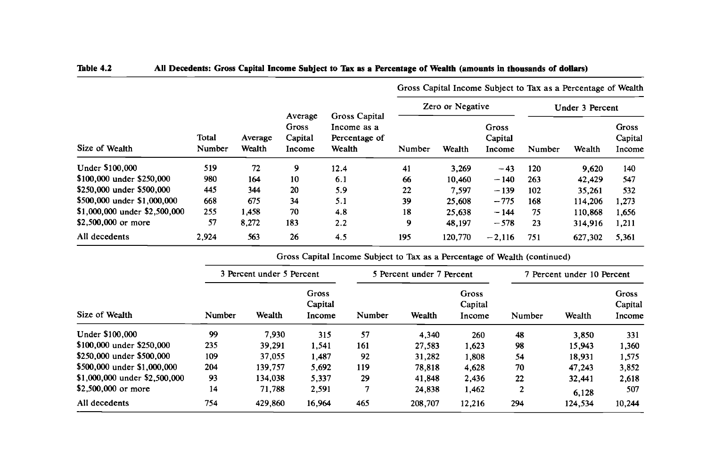|                               |                 |                   | Average<br>Gross<br>Capital<br>Income | <b>Gross Capital</b><br>Income as a<br>Percentage of<br>Wealth | Gross Capital Income Subject to Tax as a Percentage of Wealth |         |                            |                 |         |                                   |  |
|-------------------------------|-----------------|-------------------|---------------------------------------|----------------------------------------------------------------|---------------------------------------------------------------|---------|----------------------------|-----------------|---------|-----------------------------------|--|
|                               |                 |                   |                                       |                                                                | Zero or Negative                                              |         |                            | Under 3 Percent |         |                                   |  |
| Size of Wealth                | Total<br>Number | Average<br>Wealth |                                       |                                                                | Number                                                        | Wealth  | Gross<br>Capital<br>Income | Number          | Wealth  | <b>Gross</b><br>Capital<br>Income |  |
| Under \$100,000               | 519             | 72                | 9                                     | 12.4                                                           | 41                                                            | 3,269   | $-43$                      | 120             | 9.620   | 140                               |  |
| \$100,000 under \$250,000     | 980             | 164               | 10                                    | 6.1                                                            | 66                                                            | 10,460  | $-140$                     | 263             | 42,429  | 547                               |  |
| \$250,000 under \$500,000     | 445             | 344               | 20                                    | 5.9                                                            | 22                                                            | 7,597   | $-139$                     | 102             | 35,261  | 532                               |  |
| \$500,000 under \$1,000,000   | 668             | 675               | 34                                    | 5.1                                                            | 39                                                            | 25,608  | $-775$                     | 168             | 114,206 | 1,273                             |  |
| \$1,000,000 under \$2,500,000 | 255             | 1.458             | 70                                    | 4.8                                                            | 18                                                            | 25,638  | $-144$                     | 75              | 110.868 | 1.656                             |  |
| \$2,500,000 or more           | 57              | 8,272             | 183                                   | 2.2                                                            | 9                                                             | 48,197  | $-578$                     | 23              | 314,916 | 1,211                             |  |
| All decedents                 | 2.924           | 563               | 26                                    | 4.5                                                            | 195                                                           | 120,770 | $-2.116$                   | 751             | 627.302 | 5.361                             |  |

#### **Table 4.2** *AU* **Decedents: Gross Capital Income Subject to Tax as a Percentage of Wealth (amounts in thousands of dollars)**

Gross Capital Income Subject to Tax as a Percentage of Wealth (continued)

|                               | 3 Percent under 5 Percent |         |                            | 5 Percent under 7 Percent |         |                            | 7 Percent under 10 Percent |         |                            |
|-------------------------------|---------------------------|---------|----------------------------|---------------------------|---------|----------------------------|----------------------------|---------|----------------------------|
| Size of Wealth                | Number                    | Wealth  | Gross<br>Capital<br>Income | Number                    | Wealth  | Gross<br>Capital<br>Income | Number                     | Wealth  | Gross<br>Capital<br>Income |
| Under \$100,000               | 99                        | 7.930   | 315                        | 57                        | 4.340   | 260                        | 48                         | 3.850   | 331                        |
| \$100,000 under \$250,000     | 235                       | 39.291  | 1.541                      | 161                       | 27.583  | 1,623                      | 98                         | 15,943  | 1,360                      |
| \$250,000 under \$500,000     | 109                       | 37.055  | 1.487                      | 92                        | 31,282  | 1,808                      | 54                         | 18.931  | 1,575                      |
| \$500,000 under \$1,000,000   | 204                       | 139,757 | 5.692                      | 119                       | 78,818  | 4,628                      | 70                         | 47,243  | 3,852                      |
| \$1,000,000 under \$2,500,000 | 93                        | 134.038 | 5.337                      | 29                        | 41,848  | 2.436                      | 22                         | 32,441  | 2,618                      |
| \$2,500,000 or more           | 14                        | 71.788  | 2.591                      | 7                         | 24,838  | 1,462                      | 2                          | 6.128   | 507                        |
| All decedents                 | 754                       | 429,860 | 16.964                     | 465                       | 208,707 | 12,216                     | 294                        | 124,534 | 10,244                     |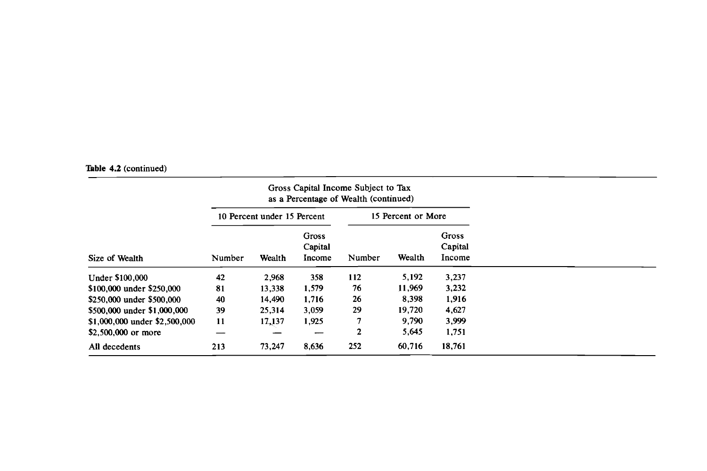#### **Table 4.2** (continued)

|                               |        | 10 Percent under 15 Percent |                            |        | 15 Percent or More |                                   |  |
|-------------------------------|--------|-----------------------------|----------------------------|--------|--------------------|-----------------------------------|--|
| Size of Wealth                | Number | Wealth                      | Gross<br>Capital<br>Income | Number | Wealth             | <b>Gross</b><br>Capital<br>Income |  |
| Under \$100,000               | 42     | 2,968                       | 358                        | 112    | 5,192              | 3,237                             |  |
| \$100,000 under \$250,000     | 81     | 13,338                      | 1,579                      | 76     | 11,969             | 3,232                             |  |
| \$250,000 under \$500,000     | 40     | 14,490                      | 1,716                      | 26     | 8,398              | 1.916                             |  |
| \$500,000 under \$1,000,000   | 39     | 25,314                      | 3,059                      | 29     | 19,720             | 4.627                             |  |
| \$1,000,000 under \$2,500,000 | 11     | 17,137                      | 1,925                      |        | 9,790              | 3.999                             |  |
| \$2,500,000 or more           |        |                             |                            | 2      | 5,645              | 1.751                             |  |
| All decedents                 | 213    | 73.247                      | 8,636                      | 252    | 60,716             | 18,761                            |  |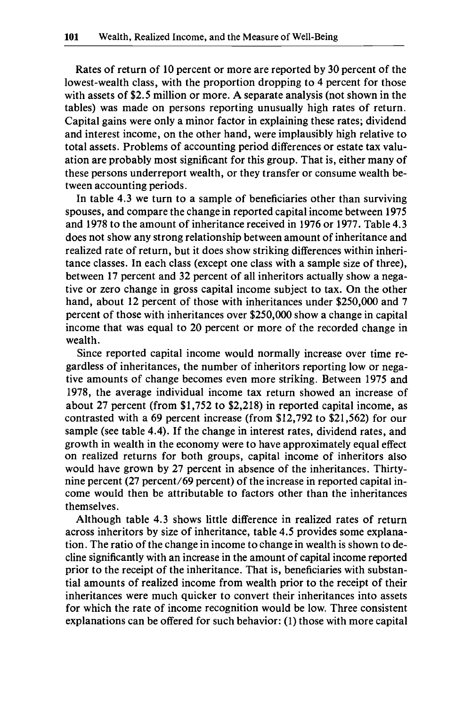Rates of return of 10 percent or more are reported by 30 percent of the lowest-wealth class, with the proportion dropping to 4 percent for those with assets of \$2.5 million or more. A separate analysis (not shown in the tables) was made on persons reporting unusually high rates of return. Capital gains were only a minor factor in explaining these rates; dividend and interest income, on the other hand, were implausibly high relative to total assets. Problems of accounting period differences or estate tax valuation are probably most significant for this group. That is, either many of these persons underreport wealth, or they transfer or consume wealth between accounting periods.

In table 4.3 we turn to a sample of beneficiaries other than surviving spouses, and compare the change in reported capital income between 1975 and 1978 to the amount of inheritance received in 1976 or 1977. Table 4.3 does not show any strong relationship between amount of inheritance and realized rate of return, but it does show striking differences within inheritance classes. In each class (except one class with a sample size of three), between 17 percent and 32 percent of all inheritors actually show a negative or zero change in gross capital income subject to tax. On the other hand, about 12 percent of those with inheritances under \$250,000 and 7 percent of those with inheritances over **\$250,000** show a change in capital income that was equal to 20 percent or more of the recorded change in wealth.

Since reported capital income would normally increase over time regardless of inheritances, the number of inheritors reporting low or negative amounts of change becomes even more striking. Between 1975 and 1978, the average individual income tax return showed an increase of about 27 percent (from \$1,752 to \$2,218) in reported capital income, as contrasted with a 69 percent increase (from \$12,792 to \$21,562) for our sample (see table 4.4). If the change in interest rates, dividend rates, and growth in wealth in the economy were to have approximately equal effect on realized returns for both groups, capital income of inheritors also would have grown by 27 percent in absence of the inheritances. Thirtynine percent (27 percent/69 percent) of the increase in reported capital income would then be attributable to factors other than the inheritances themselves.

Although table 4.3 shows little difference in realized rates of return across inheritors by size of inheritance, table 4.5 provides some explanation. The ratio of the change in income to change in wealth is shown to decline significantly with an increase in the amount of capital income reported prior to the receipt of the inheritance. That is, beneficiaries with substantial amounts of realized income from wealth prior to the receipt of their inheritances were much quicker to convert their inheritances into assets for which the rate of income recognition would be low. Three consistent explanations can be offered for such behavior: (1) those with more capital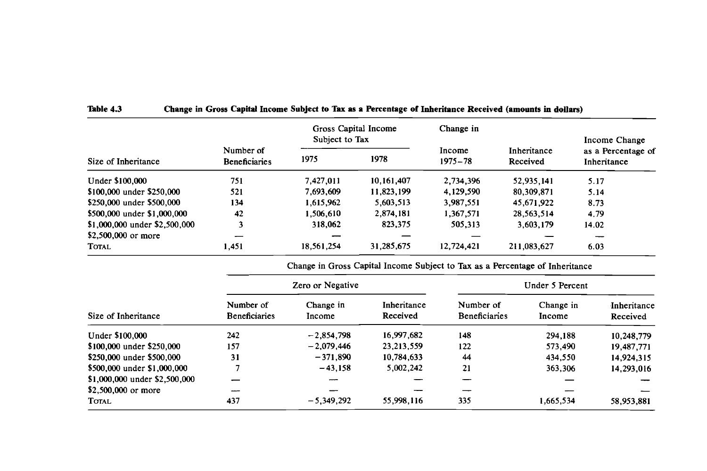|                               |                                                                              | Gross Capital Income<br>Subject to Tax |             | Change in             |                         |                                   | Income Change |  |  |  |
|-------------------------------|------------------------------------------------------------------------------|----------------------------------------|-------------|-----------------------|-------------------------|-----------------------------------|---------------|--|--|--|
| Size of Inheritance           | Number of<br><b>Beneficiaries</b>                                            | 1975                                   | 1978        | Income<br>$1975 - 78$ | Inheritance<br>Received | as a Percentage of<br>Inheritance |               |  |  |  |
| Under \$100,000               | 751                                                                          | 7,427,011                              | 10,161,407  | 2.734,396             | 52,935,141              | 5.17                              |               |  |  |  |
| \$100,000 under \$250,000     | 521                                                                          | 7,693,609                              | 11,823,199  | 4,129,590             | 80,309,871              | 5.14                              |               |  |  |  |
| \$250,000 under \$500,000     | 134                                                                          | 1,615,962                              | 5,603,513   | 3,987,551             | 45,671,922              | 8.73                              |               |  |  |  |
| \$500,000 under \$1,000,000   | 42                                                                           | 1,506,610                              | 2,874,181   | 1,367,571             | 28,563,514              | 4.79                              |               |  |  |  |
| \$1,000,000 under \$2,500,000 | 3                                                                            | 318,062                                | 823,375     | 505,313               | 3,603,179               | 14.02                             |               |  |  |  |
| \$2,500,000 or more           |                                                                              |                                        |             |                       |                         |                                   |               |  |  |  |
| <b>TOTAL</b>                  | 1,451                                                                        | 18,561,254                             | 31,285,675  | 12,724,421            | 211,083,627             | 6.03                              |               |  |  |  |
|                               | Change in Gross Capital Income Subject to Tax as a Percentage of Inheritance |                                        |             |                       |                         |                                   |               |  |  |  |
|                               |                                                                              | Zero or Negative                       |             | Under 5 Percent       |                         |                                   |               |  |  |  |
|                               | Number of                                                                    | Change in                              | Inheritance | Number of             | Change in               |                                   | Inheritance   |  |  |  |
| Size of Inheritance           | <b>Beneficiaries</b>                                                         | Income                                 | Received    | <b>Beneficiaries</b>  | Income                  |                                   | Received      |  |  |  |
| Under \$100,000               | 242                                                                          | $-2,854,798$                           | 16,997,682  | 148                   | 294,188                 |                                   | 10,248,779    |  |  |  |
| \$100,000 under \$250,000     | 157                                                                          | $-2,079,446$                           | 23,213,559  | 122                   | 573,490                 |                                   | 19,487,771    |  |  |  |
| \$250,000 under \$500,000     | 31                                                                           | $-371,890$                             | 10,784,633  | 44                    | 434,550                 |                                   | 14,924,315    |  |  |  |
| \$500,000 under \$1,000,000   |                                                                              | $-43,158$                              | 5,002,242   | 21                    | 363,306                 |                                   | 14,293,016    |  |  |  |
| \$1,000,000 under \$2,500,000 |                                                                              |                                        |             |                       |                         |                                   |               |  |  |  |
| \$2,500,000 or more           |                                                                              |                                        |             |                       |                         |                                   |               |  |  |  |

5,349,292 55,998,116 335

1,665,534 58,953,881

#### **Table 4.3 Change in Gross Capital Income Subject to Tax as a Percentage of Inheritance Received (amounts in dollars)**

 $- 5,349,292$ 

437

TOTAL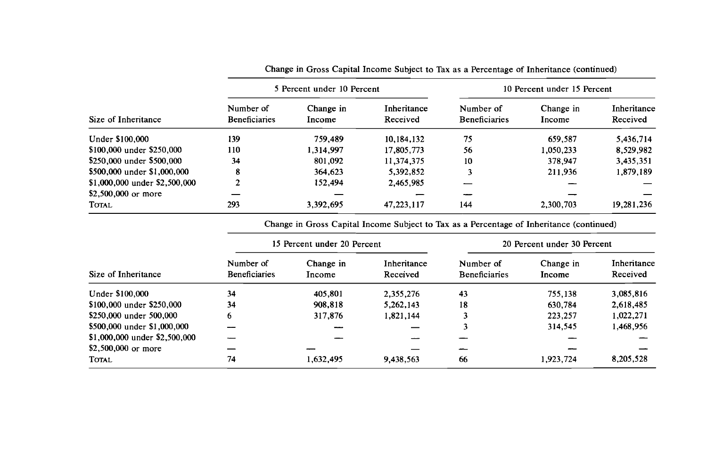|                               |                                   | 5 Percent under 10 Percent |                         | 10 Percent under 15 Percent       |                     |                         |  |
|-------------------------------|-----------------------------------|----------------------------|-------------------------|-----------------------------------|---------------------|-------------------------|--|
| Size of Inheritance           | Number of<br><b>Beneficiaries</b> | Change in<br>Income        | Inheritance<br>Received | Number of<br><b>Beneficiaries</b> | Change in<br>Income | Inheritance<br>Received |  |
| Under \$100,000               | 139                               | 759.489                    | 10.184,132              | 75                                | 659,587             | 5,436,714               |  |
| \$100,000 under \$250,000     | 110                               | 1.314.997                  | 17.805.773              | 56                                | 1.050.233           | 8,529,982               |  |
| \$250,000 under \$500,000     | 34                                | 801.092                    | 11,374,375              | 10                                | 378.947             | 3,435,351               |  |
| \$500,000 under \$1,000,000   | 8                                 | 364,623                    | 5,392,852               |                                   | 211,936             | 1,879,189               |  |
| \$1,000,000 under \$2,500,000 |                                   | 152.494                    | 2.465,985               |                                   |                     |                         |  |
| \$2,500,000 or more           |                                   |                            |                         |                                   |                     |                         |  |
| TOTAL                         | 293                               | 3.392.695                  | 47.223.117              | 144                               | 2.300,703           | 19, 281, 236            |  |

Change in Gross Capital Income Subject to Tax as a Percentage **of** Inheritance (continued)

Change in Gross Capital Income Subject to Tax as a Percentage **of** Inheritance (continued)

|                               |                                   | 15 Percent under 20 Percent |                         | 20 Percent under 30 Percent       |                     |                         |  |
|-------------------------------|-----------------------------------|-----------------------------|-------------------------|-----------------------------------|---------------------|-------------------------|--|
| Size of Inheritance           | Number of<br><b>Beneficiaries</b> | Change in<br>Income         | Inheritance<br>Received | Number of<br><b>Beneficiaries</b> | Change in<br>Income | Inheritance<br>Received |  |
| Under \$100,000               | 34                                | 405.801                     | 2,355,276               | 43                                | 755.138             | 3,085,816               |  |
| \$100,000 under \$250,000     | 34                                | 908,818                     | 5.262,143               | 18                                | 630.784             | 2,618,485               |  |
| \$250,000 under 500,000       | 6                                 | 317,876                     | 1.821.144               |                                   | 223.257             | 1,022,271               |  |
| \$500,000 under \$1,000,000   |                                   |                             |                         |                                   | 314,545             | 1.468.956               |  |
| \$1,000,000 under \$2,500,000 |                                   |                             |                         |                                   |                     |                         |  |
| $$2,500,000$ or more          |                                   |                             |                         |                                   |                     |                         |  |
| <b>TOTAL</b>                  | 74                                | 1,632,495                   | 9.438.563               | 66                                | 1.923.724           | 8,205,528               |  |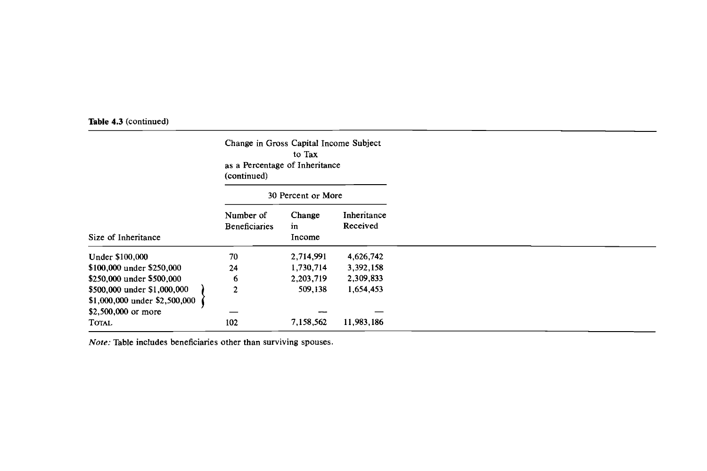#### **Table 4.3 (continued)**

|                               | Change in Gross Capital Income Subject<br>as a Percentage of Inheritance<br>(continued) | to Tax                 |                         |  |  |
|-------------------------------|-----------------------------------------------------------------------------------------|------------------------|-------------------------|--|--|
|                               |                                                                                         | 30 Percent or More     |                         |  |  |
| Size of Inheritance           | Number of<br><b>Beneficiaries</b>                                                       | Change<br>in<br>Income | Inheritance<br>Received |  |  |
| Under \$100,000               | 70                                                                                      | 2,714,991              | 4,626,742               |  |  |
| \$100,000 under \$250,000     | 24                                                                                      | 1,730,714              | 3,392,158               |  |  |
| \$250,000 under \$500,000     | 6                                                                                       | 2,203,719              | 2,309,833               |  |  |
| \$500,000 under \$1,000,000   | $\overline{c}$                                                                          | 509,138                | 1,654,453               |  |  |
| \$1,000,000 under \$2,500,000 |                                                                                         |                        |                         |  |  |
| \$2,500,000 or more           |                                                                                         |                        |                         |  |  |
| <b>TOTAL</b>                  | 102                                                                                     | 7,158,562              | 11,983,186              |  |  |

~ ~~ ~~~

*Note:* **Table includes beneficiaries other than surviving spouses.**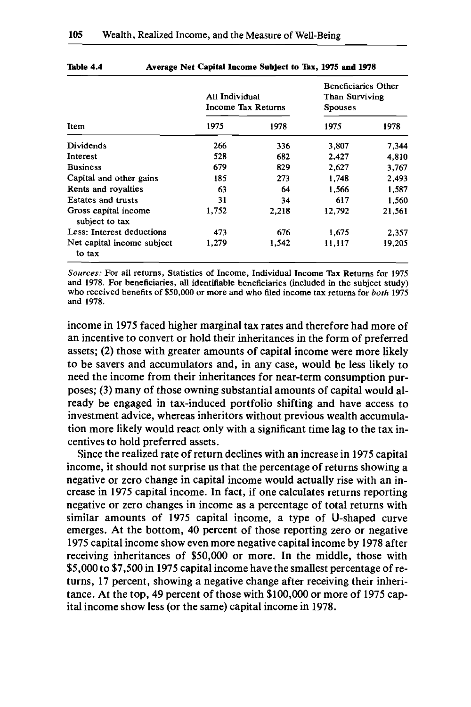|                                        | All Individual<br>Income Tax Returns |       | <b>Beneficiaries Other</b><br>Than Surviving<br><b>Spouses</b> |        |  |
|----------------------------------------|--------------------------------------|-------|----------------------------------------------------------------|--------|--|
| Item                                   | 1975                                 | 1978  | 1975                                                           | 1978   |  |
| Dividends                              | 266                                  | 336   | 3,807                                                          | 7,344  |  |
| Interest                               | 528                                  | 682   | 2.427                                                          | 4,810  |  |
| <b>Business</b>                        | 679                                  | 829   | 2,627                                                          | 3,767  |  |
| Capital and other gains                | 185                                  | 273   | 1,748                                                          | 2,493  |  |
| Rents and royalties                    | 63                                   | 64    | 1.566                                                          | 1,587  |  |
| Estates and trusts                     | 31                                   | 34    | 617                                                            | 1,560  |  |
| Gross capital income<br>subject to tax | 1.752                                | 2,218 | 12,792                                                         | 21,561 |  |
| Less: Interest deductions              | 473                                  | 676   | 1.675                                                          | 2.357  |  |
| Net capital income subject<br>to tax   | 1,279                                | 1,542 | 11,117                                                         | 19,205 |  |

#### **Table 4.4 Average Net Capital Income Subject to Tax, 1975 and 1978**

*Sources:* **For all returns, Statistics of Income, Individual Income Tax Returns for 1975 and 1978. For beneficiaries, all identifiable beneficiaries (included in the subject study) who received benefits of** *\$50,000* **or more and who filed income tax returns for** *borh* **1975 and 1978.** 

income in **1975** faced higher marginal tax rates and therefore had more of an incentive to convert or hold their inheritances in the form of preferred assets; (2) those with greater amounts of capital income were more likely to be savers and accumulators and, in any case, would be less likely to need the income from their inheritances for near-term consumption purposes; (3) many of those owning substantial amounts of capital would already be engaged in tax-induced portfolio shifting and have access to investment advice, whereas inheritors without previous wealth accumulation more likely would react only with a significant time lag to the tax incentives to hold preferred assets.

Since the realized rate of return declines with an increase in **1975** capital income, it should not surprise us that the percentage of returns showing a negative or zero change in capital income would actually rise with an increase in **1975** capital income. In fact, if one calculates returns reporting negative or zero changes in income as a percentage of total returns with similar amounts of **1975** capital income, a type of U-shaped curve emerges. At the bottom, **40** percent of those reporting zero or negative **1975** capital income show even more negative capital income by **1978** after receiving inheritances of **\$50,000** or more. In the middle, those with \$5,000 to **\$7,500** in **1975** capital income have the smallest percentage of returns, **17** percent, showing a negative change after receiving their inheritance. At the top, **49** percent of those with **\$lOO,OOO** or more of **1975** capital income show less (or the same) capital income in **1978.**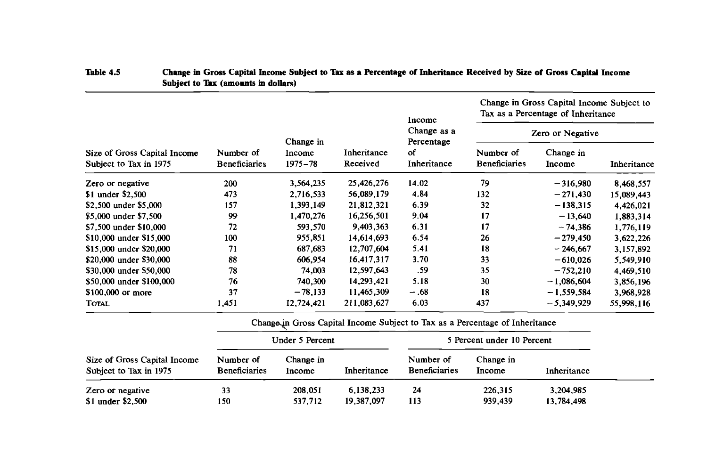| Size of Gross Capital Income<br>Subject to Tax in 1975 | Number of<br><b>Beneficiaries</b> | Change in<br>Income<br>$1975 - 78$ | Inheritance<br>Received | Income<br>Change as a<br>Percentage<br>of<br>Inheritance |                                                                              | Change in Gross Capital Income Subject to<br>Tax as a Percentage of Inheritance |             |  |  |
|--------------------------------------------------------|-----------------------------------|------------------------------------|-------------------------|----------------------------------------------------------|------------------------------------------------------------------------------|---------------------------------------------------------------------------------|-------------|--|--|
|                                                        |                                   |                                    |                         |                                                          | Zero or Negative                                                             |                                                                                 |             |  |  |
|                                                        |                                   |                                    |                         |                                                          | Number of<br><b>Beneficiaries</b>                                            | Change in<br>Income                                                             | Inheritance |  |  |
| Zero or negative                                       | 200                               | 3,564,235                          | 25,426,276              | 14.02                                                    | 79                                                                           | $-316,980$                                                                      | 8,468,557   |  |  |
| \$1 under \$2,500                                      | 473                               | 2,716,533                          | 56,089,179              | 4.84                                                     | 132                                                                          | $-271,430$                                                                      | 15,089,443  |  |  |
| \$2,500 under \$5,000                                  | 157                               | 1,393,149                          | 21,812,321              | 6.39                                                     | 32                                                                           | $-138,315$                                                                      | 4,426,021   |  |  |
| \$5,000 under \$7,500                                  | 99                                | 1,470,276                          | 16,256,501              | 9.04                                                     | 17                                                                           | $-13,640$                                                                       | 1,883,314   |  |  |
| \$7,500 under \$10,000                                 | 72                                | 593,570                            | 9,403,363               | 6.31                                                     | 17                                                                           | $-74,386$                                                                       | 1,776,119   |  |  |
| \$10,000 under \$15,000                                | 100                               | 955,851                            | 14,614,693              | 6.54                                                     | 26                                                                           | $-279,450$                                                                      | 3,622,226   |  |  |
| \$15,000 under \$20,000                                | 71                                | 687,683                            | 12,707,604              | 5.41                                                     | 18                                                                           | $-246,667$                                                                      | 3,157,892   |  |  |
| \$20,000 under \$30,000                                | 88                                | 606,954                            | 16,417,317              | 3.70                                                     | 33                                                                           | $-610.026$                                                                      | 5,549,910   |  |  |
| \$30,000 under \$50,000                                | 78                                | 74,003                             | 12,597,643              | .59                                                      | 35                                                                           | $-752,210$                                                                      | 4,469,510   |  |  |
| \$50,000 under \$100,000                               | 76                                | 740,300                            | 14, 293, 421            | 5.18                                                     | 30                                                                           | $-1,086,604$                                                                    | 3,856,196   |  |  |
| \$100,000 or more                                      | 37                                | $-78,133$                          | 11,465,309              | $-.68$                                                   | 18                                                                           | $-1,559,584$                                                                    | 3,968,928   |  |  |
| <b>TOTAL</b>                                           | 1,451                             | 12,724,421                         | 211,083,627             | 6.03                                                     | 437                                                                          | $-5,349,929$                                                                    | 55,998,116  |  |  |
|                                                        |                                   |                                    |                         |                                                          | Change in Gross Capital Income Subject to Tax as a Percentage of Inheritance |                                                                                 |             |  |  |
|                                                        |                                   | Under 5 Percent                    |                         |                                                          | 5 Percent under 10 Percent                                                   |                                                                                 |             |  |  |

#### **Table 4.5 Change in Gross Capital Income Subject to**  *p8* **a Percentage of Inheritance Received by Size of Gross Capital Income Subject to** 'hx **(amounts in dollars)**

| Size of Gross Capital Income<br>Subject to Tax in 1975 | Number of<br><b>Beneficiaries</b> | Change in<br>Income | Inheritance | Number of<br><b>Beneficiaries</b> | Change in<br>Income | Inheritance |  |
|--------------------------------------------------------|-----------------------------------|---------------------|-------------|-----------------------------------|---------------------|-------------|--|
| Zero or negative                                       | 33                                | 208,051             | 6.138.233   | 24                                | 226,315             | 3.204.985   |  |
| \$1 under \$2,500                                      | 150                               | 537,712             | 19.387.097  | 113                               | 939.439             | 13,784,498  |  |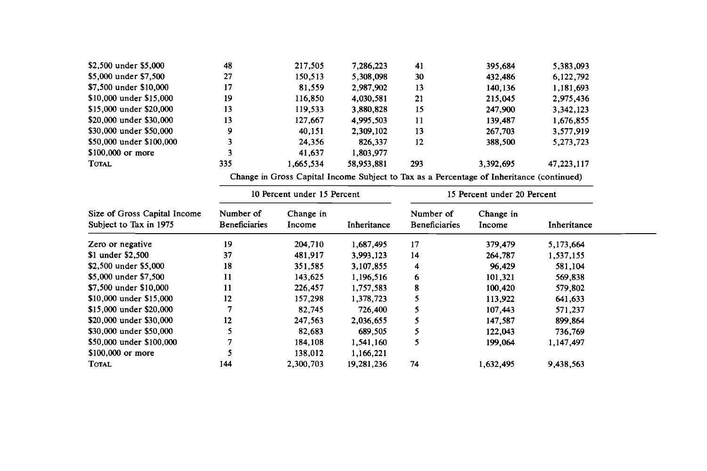| \$2,500 under \$5,000    | 48  | 217.505   | 7.286,223  | 41  | 395.684   | 5,383,093   |
|--------------------------|-----|-----------|------------|-----|-----------|-------------|
| \$5,000 under \$7,500    | 27  | 150.513   | 5,308,098  | 30  | 432,486   | 6, 122, 792 |
| \$7,500 under \$10,000   | 17  | 81,559    | 2,987,902  | 13  | 140,136   | 1.181.693   |
| \$10,000 under \$15,000  | 19  | 116.850   | 4,030,581  | 21  | 215,045   | 2.975.436   |
| \$15,000 under \$20,000  | 13  | 119.533   | 3.880.828  | 15  | 247,900   | 3.342.123   |
| \$20,000 under \$30,000  | 13  | 127,667   | 4.995,503  | 11  | 139,487   | 1.676.855   |
| \$30,000 under \$50,000  | 9   | 40.151    | 2,309,102  | 13  | 267,703   | 3.577.919   |
| \$50,000 under \$100,000 |     | 24,356    | 826.337    | 12  | 388.500   | 5.273.723   |
| \$100,000 or more        |     | 41.637    | 1,803,977  |     |           |             |
| <b>TOTAL</b>             | 335 | 1,665,534 | 58,953,881 | 293 | 3,392,695 | 47,223,117  |

Change in Gross Capital Income Subject to Tax as a Percentage of Inheritance (continued)

|                                                        | 10 Percent under 15 Percent       |                     |             | 15 Percent under 20 Percent       |                     |             |  |
|--------------------------------------------------------|-----------------------------------|---------------------|-------------|-----------------------------------|---------------------|-------------|--|
| Size of Gross Capital Income<br>Subject to Tax in 1975 | Number of<br><b>Beneficiaries</b> | Change in<br>Income | Inheritance | Number of<br><b>Beneficiaries</b> | Change in<br>Income | Inheritance |  |
| Zero or negative                                       | 19                                | 204,710             | 1,687.495   | 17                                | 379,479             | 5.173.664   |  |
| $$1$ under $$2,500$                                    | 37                                | 481,917             | 3.993.123   | 14                                | 264,787             | 1.537.155   |  |
| \$2,500 under \$5,000                                  | 18                                | 351,585             | 3,107,855   | 4                                 | 96.429              | 581.104     |  |
| \$5,000 under \$7,500                                  | 11                                | 143,625             | 1,196.516   | 6                                 | 101,321             | 569,838     |  |
| \$7,500 under \$10,000                                 | 11                                | 226,457             | 1,757,583   | 8                                 | 100,420             | 579,802     |  |
| \$10,000 under \$15,000                                | 12                                | 157,298             | 1,378,723   | 5                                 | 113,922             | 641,633     |  |
| \$15,000 under \$20,000                                | 7                                 | 82.745              | 726.400     | 5                                 | 107.443             | 571,237     |  |
| \$20,000 under \$30,000                                | 12                                | 247,563             | 2,036,655   | 5                                 | 147,587             | 899.864     |  |
| \$30,000 under \$50,000                                | 5                                 | 82.683              | 689.505     | 5                                 | 122,043             | 736.769     |  |
| \$50,000 under \$100,000                               |                                   | 184,108             | 1,541,160   | 5                                 | 199.064             | 1,147,497   |  |
| \$100,000 or more                                      | 5                                 | 138.012             | 1,166,221   |                                   |                     |             |  |
| <b>TOTAL</b>                                           | 144                               | 2,300,703           | 19.281.236  | 74                                | 1.632,495           | 9.438,563   |  |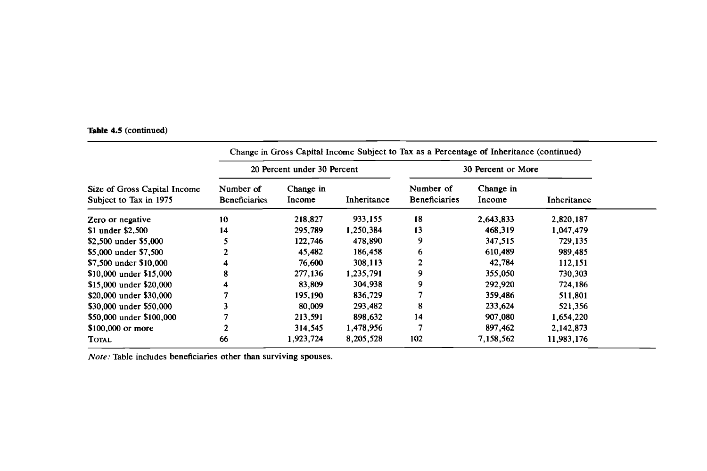#### Table **4.5** (continued)

|                                                        | Change in Gross Capital Income Subject to Tax as a Percentage of Inheritance (continued) |                             |             |                                   |                     |             |  |
|--------------------------------------------------------|------------------------------------------------------------------------------------------|-----------------------------|-------------|-----------------------------------|---------------------|-------------|--|
| Size of Gross Capital Income<br>Subject to Tax in 1975 |                                                                                          | 20 Percent under 30 Percent |             |                                   | 30 Percent or More  |             |  |
|                                                        | Number of<br><b>Beneficiaries</b>                                                        | Change in<br>Income         | Inheritance | Number of<br><b>Beneficiaries</b> | Change in<br>Income | Inheritance |  |
| Zero or negative                                       | 10                                                                                       | 218,827                     | 933,155     | 18                                | 2,643,833           | 2,820,187   |  |
| \$1 under \$2,500                                      | 14                                                                                       | 295,789                     | 1.250.384   | 13                                | 468,319             | 1,047,479   |  |
| \$2,500 under \$5,000                                  |                                                                                          | 122,746                     | 478,890     | 9                                 | 347,515             | 729,135     |  |
| \$5,000 under \$7,500                                  |                                                                                          | 45,482                      | 186,458     | 6                                 | 610,489             | 989,485     |  |
| \$7,500 under \$10,000                                 |                                                                                          | 76,600                      | 308,113     |                                   | 42,784              | 112,151     |  |
| \$10,000 under \$15,000                                | 8                                                                                        | 277,136                     | 1,235,791   | 9                                 | 355,050             | 730,303     |  |
| \$15,000 under \$20,000                                |                                                                                          | 83,809                      | 304,938     | 9                                 | 292,920             | 724,186     |  |
| \$20,000 under \$30,000                                |                                                                                          | 195,190                     | 836,729     |                                   | 359,486             | 511.801     |  |
| \$30,000 under \$50,000                                |                                                                                          | 80,009                      | 293,482     | 8                                 | 233,624             | 521,356     |  |
| \$50,000 under \$100,000                               |                                                                                          | 213,591                     | 898.632     | 14                                | 907,080             | 1,654,220   |  |
| \$100,000 or more                                      |                                                                                          | 314,545                     | 1,478,956   |                                   | 897,462             | 2,142,873   |  |
| <b>TOTAL</b>                                           | 66                                                                                       | 1,923,724                   | 8,205,528   | 102                               | 7.158.562           | 11,983,176  |  |

Note: Table includes beneficiaries other than surviving spouses.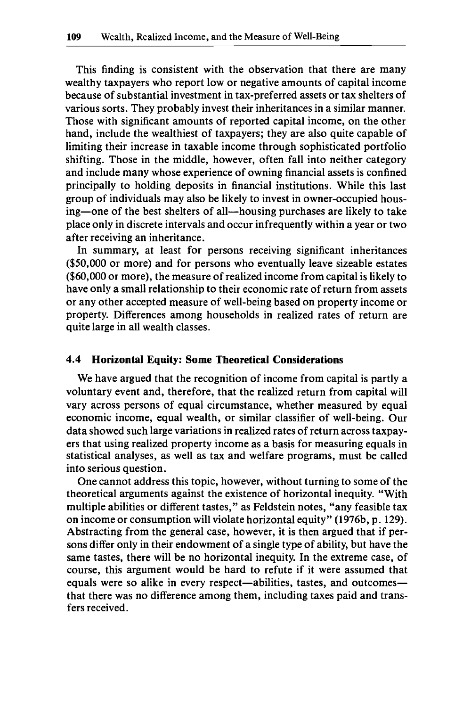This finding is consistent with the observation that there are many wealthy taxpayers who report low or negative amounts of capital income because of substantial investment in tax-preferred assets or tax shelters of various sorts. They probably invest their inheritances in a similar manner. Those with significant amounts of reported capital income, on the other hand, include the wealthiest of taxpayers; they are also quite capable of limiting their increase in taxable income through sophisticated portfolio shifting. Those in the middle, however, often fall into neither category and include many whose experience of owning financial assets is confined principally to holding deposits in financial institutions. While this last group of individuals may also be likely to invest in owner-occupied housing—one of the best shelters of all—housing purchases are likely to take place only in discrete intervals and occur infrequently within a year or two after receiving an inheritance.

In summary, at least for persons receiving significant inheritances (\$50,000 or more) and for persons who eventually leave sizeable estates *(\$60,000* or more), the measure of realized income from capital is likely to have only a small relationship to their economic rate of return from assets or any other accepted measure of well-being based on property income or property. Differences among households in realized rates of return are quite large in all wealth classes.

#### **4.4 Horizontal Equity: Some Theoretical Considerations**

We have argued that the recognition of income from capital is partly a voluntary event and, therefore, that the realized return from capital will vary across persons of equal circumstance, whether measured by equal economic income, equal wealth, or similar classifier of well-being. Our data showed such large variations in realized rates of return across taxpayers that using realized property income as a basis for measuring equals in statistical analyses, as well as tax and welfare programs, must be called into serious question.

One cannot address this topic, however, without turning to some of the theoretical arguments against the existence of horizontal inequity. "With multiple abilities or different tastes," as Feldstein notes, "any feasible tax on income or consumption will violate horizontal equity" (1976b, p. 129). Abstracting from the general case, however, it is then argued that if persons differ only in their endowment of a single type of ability, but have the same tastes, there will be no horizontal inequity. In the extreme case, of course, this argument would be hard to refute if it were assumed that equals were so alike in every respect-abilities, tastes, and outcomesthat there was no difference among them, including taxes paid and transfers received.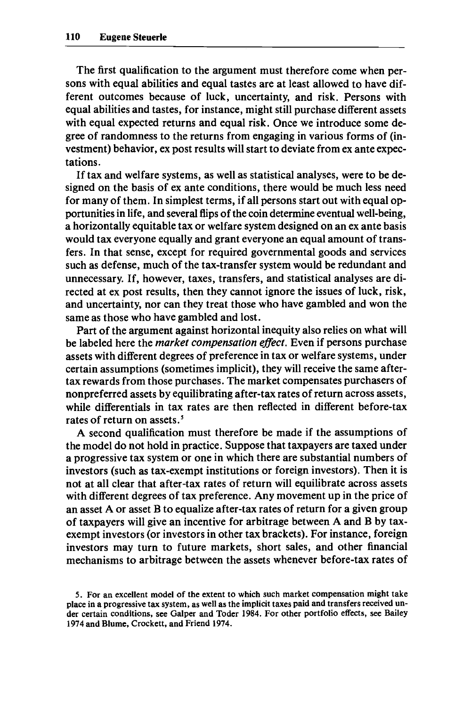The first qualification to the argument must therefore come when persons with equal abilities and equal tastes are at least allowed to have different outcomes because of luck, uncertainty, and risk. Persons with equal abilities and tastes, for instance, might still purchase different assets with equal expected returns and equal risk. Once we introduce some degree of randomness to the returns from engaging in various forms of (investment) behavior, ex post results will start to deviate from ex ante expectations.

If tax and welfare systems, as well as statistical analyses, were to be designed on the basis of ex ante conditions, there would be much less need for many of them. In simplest terms, if all persons start out with equal opportunities in life, and several flips of the coin determine eventual well-being, a horizontally equitable tax or welfare system designed on an ex ante basis would tax everyone equally and grant everyone an equal amount of transfers. In that sense, except for required governmental goods and services such as defense, much of the tax-transfer system would be redundant and unnecessary. If, however, taxes, transfers, and statistical analyses are directed at ex post results, then they cannot ignore the issues of luck, risk, and uncertainty, nor can they treat those who have gambled and won the same as those who have gambled and lost.

Part of the argument against horizontal inequity also relies on what will be labeled here the *market compensation eflect.* Even if persons purchase assets with different degrees of preference in tax or welfare systems, under certain assumptions (sometimes implicit), they will receive the same aftertax rewards from those purchases. The market compensates purchasers of nonpreferred assets by equilibrating after-tax rates of return across assets, while differentials in tax rates are then reflected in different before-tax rates of return on assets.'

A second qualification must therefore be made if the assumptions of the model do not hold in practice. Suppose that taxpayers are taxed under a progressive tax system or one in which there are substantial numbers of investors (such as tax-exempt institutions or foreign investors). Then it is not at all clear that after-tax rates of return will equilibrate across assets with different degrees of tax preference. Any movement up in the price of an asset A or asset B to equalize after-tax rates of return for a given group of taxpayers will give an incentive for arbitrage between A and B by taxexempt investors (or investors in other tax brackets). For instance, foreign investors may turn to future markets, short sales, and other financial mechanisms to arbitrage between the assets whenever before-tax rates of

**<sup>5.</sup> For an excellent model of the extent to which such market compensation might take**  der certain conditions, see Galper and Toder 1984. For other portfolio effects, see Bailey **1974 and Blume, Crockett, and Friend 1974.**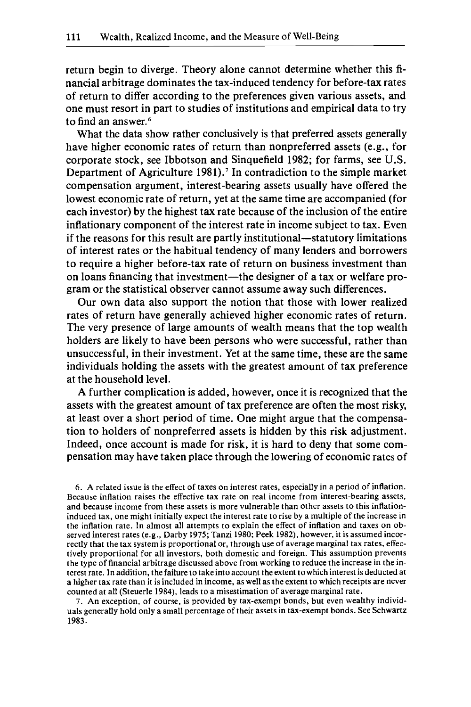return begin to diverge. Theory alone cannot determine whether this financial arbitrage dominates the tax-induced tendency for before-tax rates of return to differ according to the preferences given various assets, and one must resort in part to studies of institutions and empirical data to try to find an answer.<sup>6</sup>

What the data show rather conclusively is that preferred assets generally have higher economic rates of return than nonpreferred assets (e.g., for corporate stock, see Ibbotson and Sinquefield 1982; for farms, see U.S. Department of Agriculture 1981).' In contradiction to the simple market compensation argument, interest-bearing assets usually have offered the lowest economic rate of return, yet at the same time are accompanied (for each investor) by the highest tax rate because of the inclusion of the entire inflationary component of the interest rate in income subject to tax. Even if the reasons for this result are partly institutional-statutory limitations of interest rates or the habitual tendency of many lenders and borrowers to require a higher before-tax rate of return on business investment than on loans financing that investment—the designer of a tax or welfare program or the statistical observer cannot assume away such differences.

Our own data also support the notion that those with lower realized rates of return have generally achieved higher economic rates of return. The very presence of large amounts of wealth means that the top wealth holders are likely to have been persons who were successful, rather than unsuccessful, in their investment. Yet at the same time, these are the same individuals holding the assets with the greatest amount of tax preference at the household level.

A further complication is added, however, once it is recognized that the assets with the greatest amount of tax preference are often the most risky, at least over a short period of time. One might argue that the compensation to holders of nonpreferred assets is hidden by this risk adjustment. Indeed, once account is made for risk, it is hard to deny that some compensation may have taken place through the lowering of economic rates of

6. A related issue is the effect of taxes on interest rates, especially in a period of inflation. Because inflation raises the effective tax rate on real income from interest-bearing assets, and because income from these assets is more vulnerable than other assets to this inflationinduced tax, one might initially expect the interest rate to rise by a multiple of the increase in the inflation rate. In almost all attempts to explain the effect of inflation and taxes on observed interest rates (e.g., Darby 1975; Tanzi 1980; Peek 1982). however, it is assumed incorrectly that the tax system is proportional or, through use of average marginal tax rates, effectively proportional for all investors, both domestic and foreign. This assumption prevents the type of financial arbitrage discussed above from working to reduce the increase in the interest rate. In addition, the failure to take into account the extent to which interest is deducted at a higher tax rate than it is included in income, as well as the extent to which receipts are never counted at all (Steuerle 1984), leads to a misestimation of average marginal rate.

7. An exception, of course, is provided by tax-exempt bonds, but even wealthy individuals generally hold only a small percentage of their assets in tax-exempt bonds. See Schwartz 1983.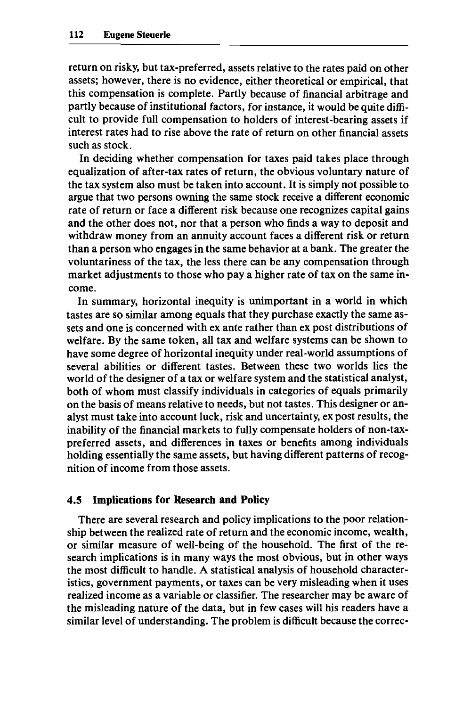return on risky, but tax-preferred, assets relative to the rates paid on other assets; however, there is no evidence, either theoretical or empirical, that this compensation is complete. Partly because of financial arbitrage and partly because of institutional factors, for instance, it would be quite difficult to provide full compensation to holders of interest-bearing assets if interest rates had to rise above the rate of return on other financial assets such as stock.

In deciding whether compensation for taxes paid takes place through equalization of after-tax rates of return, the obvious voluntary nature of the tax system also must be taken into account. It is simply not possible to argue that two persons owning the same stock receive a different economic rate of return or face a different risk because one recognizes capital gains and the other does not, nor that a person who finds a way to deposit and withdraw money from an annuity account faces a different risk or return than a person who engages in the same behavior at a bank. The greater the voluntariness of the tax, the less there can be any compensation through market adjustments to those who pay a higher rate of tax on the same income.

In summary, horizontal inequity is unimportant in a world in which tastes are so similar among equals that they purchase exactly the same assets and one is concerned with ex ante rather than ex post distributions of welfare. By the same token, all tax and welfare systems can be shown to have some degree of horizontal inequity under real-world assumptions of several abilities or different tastes. Between these two worlds lies the world of the designer of a tax or welfare system and the statistical analyst, both of whom must classify individuals in categories of equals primarily on the basis of means relative to needs, but not tastes. This designer or analyst must take into account luck, risk and uncertainty, ex post results, the inability of the financial markets to fully compensate holders of non-taxpreferred assets, and differences in taxes or benefits among individuals holding essentially the same assets, but having different patterns of recognition of income from those assets.

### **4.5 Implications for Research and Policy**

There are several research and policy implications to the poor relationship between the realized rate of return and the economic income, wealth, or similar measure of well-being of the household. The first of the research implications is in many ways the most obvious, but in other ways the most difficult to handle. A statistical analysis of household characteristics, government payments, or taxes can be very misleading when it uses realized income as a variable or classifier. The researcher may be aware of the misleading nature of the data, but in few cases will his readers have a similar level of understanding. The problem is difficult because the correc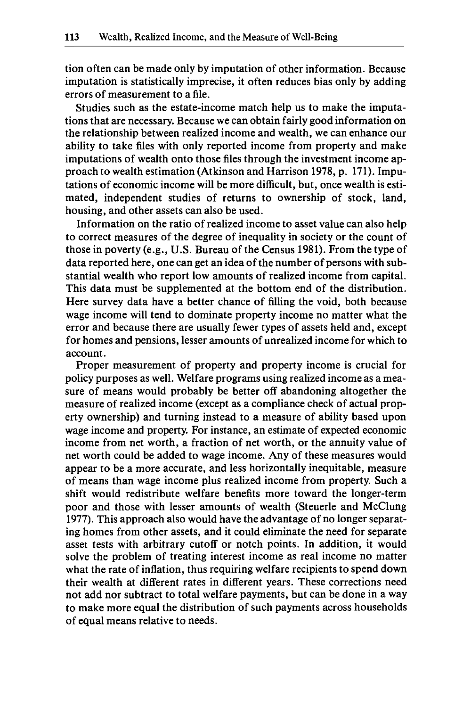tion often can be made only by imputation of other information. Because imputation is statistically imprecise, it often reduces bias only by adding errors of measurement to a file.

Studies such as the estate-income match help us to make the imputations that are necessary. Because we can obtain fairly good information on the relationship between realized income and wealth, we can enhance our ability to take files with only reported income from property and make imputations of wealth onto those files through the investment income approach to wealth estimation (Atkinson and Harrison **1978,** p. **171).** Imputations of economic income will be more difficult, but, once wealth is estimated, independent studies of returns to ownership of stock, land, housing, and other assets can also be used.

Information on the ratio of realized income to asset value can also help to correct measures of the degree of inequality in society or the count of those in poverty (e.g., **U.S.** Bureau of the Census **1981).** From the type of data reported here, one can get an idea of the number of persons with substantial wealth who report low amounts of realized income from capital. This data must be supplemented at the bottom end of the distribution. Here survey data have a better chance of filling the void, both because wage income will tend to dominate property income no matter what the error and because there are usually fewer types of assets held and, except for homes and pensions, lesser amounts of unrealized income for which to account.

Proper measurement of property and property income is crucial for policy purposes as well. Welfare programs using realized income as a measure of means would probably be better off abandoning altogether the measure of realized income (except as a compliance check of actual property ownership) and turning instead to a measure of ability based upon wage income and property. For instance, an estimate of expected economic income from net worth, a fraction of net worth, or the annuity value of net worth could be added to wage income. Any of these measures would appear to be a more accurate, and less horizontally inequitable, measure of means than wage income plus realized income from property. Such a shift would redistribute welfare benefits more toward the longer-term poor and those with lesser amounts of wealth (Steuerle and McClung **1977).** This approach also would have the advantage of no longer separating homes from other assets, and it could eliminate the need for separate asset tests with arbitrary cutoff or notch points. In addition, it would solve the problem of treating interest income as real income no matter what the rate of inflation, thus requiring welfare recipients to spend down their wealth at different rates in different years. These corrections need not add nor subtract to total welfare payments, but can be done in a way to make more equal the distribution of such payments across households of equal means relative to needs.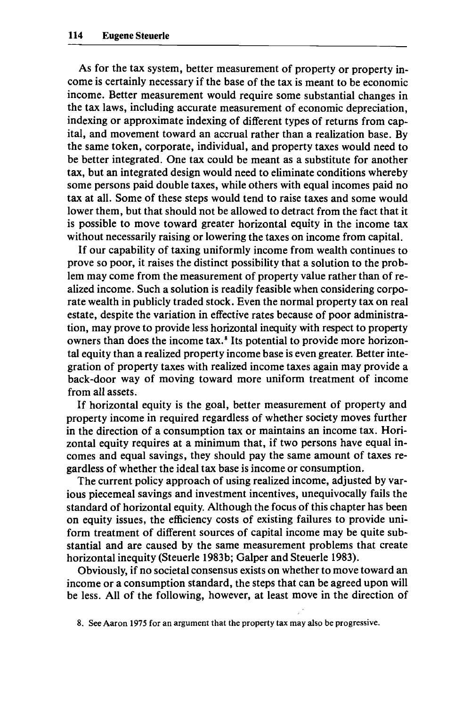As for the tax system, better measurement of property or property income is certainly necessary if the base of the tax is meant to be economic income. Better measurement would require some substantial changes in the tax laws, including accurate measurement of economic depreciation, indexing or approximate indexing of different types of returns from capital, and movement toward an accrual rather than a realization base. By the same token, corporate, individual, and property taxes would need to be better integrated. One tax could be meant as a substitute for another tax, but an integrated design would need to eliminate conditions whereby some persons paid double taxes, while others with equal incomes paid no tax at all. Some of these steps would tend to raise taxes and some would lower them, but that should not be allowed to detract from the fact that it is possible to move toward greater horizontal equity in the income tax without necessarily raising or lowering the taxes on income from capital.

If our capability of taxing uniformly income from wealth continues to prove so poor, it raises the distinct possibility that a solution to the problem may come from the measurement of property value rather than of realized income. Such a solution is readily feasible when considering corporate wealth in publicly traded stock. Even the normal property tax on real estate, despite the variation in effective rates because of poor administration, may prove to provide less horizontal inequity with respect to property owners than does the income tax.<sup>8</sup> Its potential to provide more horizontal equity than a realized property income base is even greater. Better integration of property taxes with realized income taxes again may provide a back-door way of moving toward more uniform treatment of income from all assets.

If horizontal equity is the goal, better measurement of property and property income in required regardless of whether society moves further in the direction of a consumption tax or maintains an income tax. Horizontal equity requires at a minimum that, if two persons have equal incomes and equal savings, they should pay the same amount of taxes regardless of whether the ideal tax base is income or consumption.

The current policy approach of using realized income, adjusted by various piecemeal savings and investment incentives, unequivocally fails the standard of horizontal equity. Although the focus of this chapter has been on equity issues, the efficiency costs of existing failures to provide uniform treatment of different sources of capital income may be quite substantial and are caused by the same measurement problems that create horizontal inequity (Steuerle 1983b; Galper and Steuerle 1983).

Obviously, if no societal consensus exists on whether to move toward an income or a consumption standard, the steps that can be agreed upon will be less. All of the following, however, at least move in the direction of

**<sup>8.</sup> See Aaron 1975 for an argument that the property tax may also be progressive.**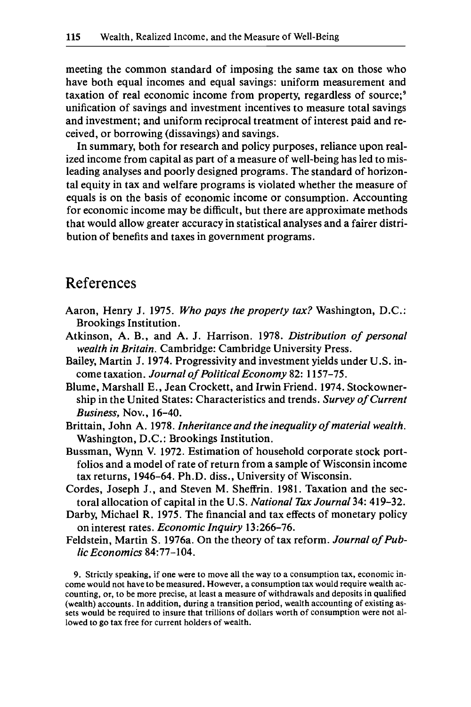meeting the common standard of imposing the same tax on those who have both equal incomes and equal savings: uniform measurement and taxation of real economic income from property, regardless of source; $<sup>9</sup>$ </sup> unification of savings and investment incentives to measure total savings and investment; and uniform reciprocal treatment of interest paid and received, or borrowing (dissavings) and savings.

In summary, both for research and policy purposes, reliance upon realized income from capital as part of a measure of well-being has led to misleading analyses and poorly designed programs. The standard of horizontal equity in tax and welfare programs is violated whether the measure of equals is on the basis of economic income or consumption. Accounting for economic income may be difficult, but there are approximate methods that would allow greater accuracy in statistical analyses and a fairer distribution of benefits and taxes in government programs.

## **References**

- Aaron, Henry J. **1975.** *Who pays the property tax?* Washington, D.C.: Brookings Institution.
- Atkinson, A. B., and A. J. Harrison. **1978.** *Distribution of personal wealth in Britain.* Cambridge: Cambridge University Press.
- Bailey, Martin J. **1974.** Progressivity and investment yields under U.S. income taxation. *Journal of PoliticalEconomy* **82: 1157-75.**
- Blume, Marshall E., Jean Crockett, and Irwin Friend. **1974.** Stockownership in the United States: Characteristics and trends. *Survey of Current Business,* Nov., **16-40.**
- Brittain, John A. **1978.** *Inheritance and the inequality of material wealth.*  Washington, D.C.: Brookings Institution.
- Bussman, Wynn V. **1972.** Estimation of household corporate stock portfolios and a model of rate of return from a sample of Wisconsin income tax returns, **1946-64.** Ph.D. diss., University of Wisconsin.
- Cordes, Joseph J., and Steven M. Sheffrin. **1981.** Taxation and the sectoral allocation of capital in the U.S. *National Tax* Journal **34: 419-32.**
- Darby, Michael R. **1975.** The financial and tax effects of monetary policy on interest rates. *Economic Inquiry* **13:266-76.**
- Feldstein, Martin **S. 1976a.** On the theory of tax reform. *Journal of Public Economics* **84:77-104.**

**9. Strictly speaking, if one were to move all the way to a consumption tax, economic income would not have to be measured. However, a consumption tax would require wealth accounting, or, to be more precise, at least a measure of withdrawals and deposits in qualified (wealth) accounts. In addition, during a transition period, wealth accounting of existing assets would be required to insure that trillions of dollars worth of consumption were not allowed to go tax free for current holders** of **wealth.**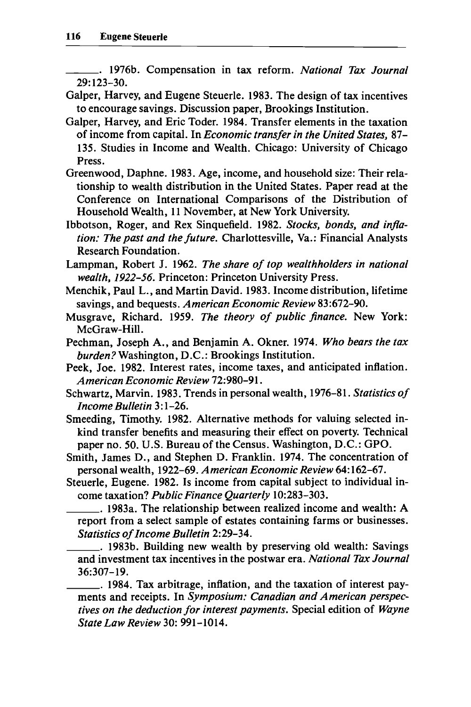-. **1976b.** Compensation in tax reform. *National Tau Journal*  **29:123-30.** 

Galper, Harvey, and Eugene Steuerle. **1983.** The design of tax incentives to encourage savings. Discussion paper, Brookings Institution.

- Galper, Harvey, and Eric Toder. **1984.** Transfer elements in the taxation of income from capital. In *Economic transfer in the United States,* **87- 135.** Studies in Income and Wealth. Chicago: University of Chicago Press.
- Greenwood, Daphne. **1983.** Age, income, and household size: Their relationship to wealth distribution in the United States. Paper read at the Conference on International Comparisons of the Distribution of Household Wealth, **11** November, at New York University.
- Ibbotson, Roger, and Rex Sinquefield. **1982.** *Stocks, bonds, and inflation: The past and the future.* Charlottesville, Va.: Financial Analysts Research Foundation.
- Lampman, Robert J. **1962.** *The share of top wealthholders in national wealth, 1922-56.* Princeton: Princeton University Press.
- Menchik, Paul L., and Martin David. **1983.** Income distribution, lifetime savings, and bequests. *American Economic Review* **83:672-90.**
- Musgrave, Richard. **1959.** *The theory of public finance.* New York: McGraw-Hill.
- Pechman, Joseph A., and Benjamin A. Okner. **1974.** *Who bears the tax burden?* Washington, D.C.: Brookings Institution.
- Peek, Joe. **1982.** Interest rates, income taxes, and anticipated inflation. *American Economic Review* **72:980-91.**
- Schwartz, Marvin. **1983.** Trends in personal wealth, **1976-81.** *Statistics of Income Bulletin* **3** : **1-26.**

Smeeding, Timothy. **1982.** Alternative methods for valuing selected inkind transfer benefits and measuring their effect on poverty. Technical paper no. **50.** U.S. Bureau of the Census. Washington, D.C.: GPO.

- Smith, James D., and Stephen D. Franklin. **1974.** The concentration of personal wealth, **1922-69.** *American Economic Review* **64: 162-67.**
- Steuerle, Eugene. **1982.** Is income from capital subject to individual income taxation? *Public Finance Quarterly* 10:283-303.

. **1983a.** The relationship between realized income and wealth: A report from a select sample of estates containing farms or businesses. *Statistics of Income Bulletin* **2:29-34.** 

. **1983b.** Building new wealth by preserving old wealth: Savings and investment tax incentives in the postwar era. *National Tax Journal*  **36:307-19.** 

. **1984.** Tax arbitrage, inflation, and the taxation of interest payments and receipts. In *Symposium: Canadian and American perspectives on the deduction for interest payments.* Special edition of *Wayne StateLaw Review* **30: 991-1014.**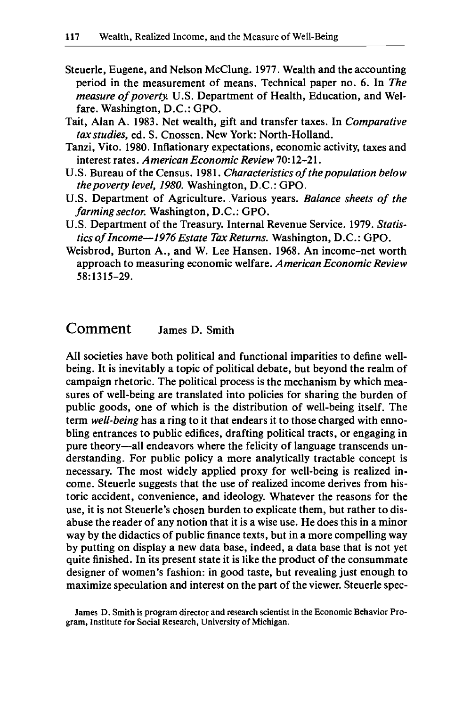- Steuerle, Eugene, and Nelson McClung. **1977.** Wealth and the accounting period in the measurement of means. Technical paper no. **6.** In *The measure of poverty.* U.S. Department of Health, Education, and Welfare. Washington, D.C.: GPO.
- Tait, Alan A. **1983.** Net wealth, gift and transfer taxes. In *Comparative taxstudies,* ed. *S.* Cnossen. New York: North-Holland.
- Tanzi, Vito. **1980.** Inflationary expectations, economic activity, taxes and interest rates. *American Economic Review* **70: 12-21.**
- **US.** Bureau of the Census. **1981.** *Characteristics of thepopulation below thepoverty level, 1980.* Washington, D.C.: GPO.
- U.S. Department of Agriculture. .Various years. *Balance sheets of the farming sector.* Washington, D.C.: GPO.
- U.S. Department of the Treasury. Internal Revenue Service. **1979.** *Statistics of Income-1976 Estate Tax Returns.* Washington, D.C.: GPO.
- Weisbrod, Burton A., and W. Lee Hansen. **1968.** An income-net worth approach to measuring economic welfare. *American Economic Review*  **58: 13 15-29.**

### Comment James D. Smith

All societies have both political and functional imparities to define wellbeing. It is inevitably a topic of political debate, but beyond the realm of campaign rhetoric. The political process is the mechanism by which measures of well-being are translated into policies for sharing the burden of public goods, one of which is the distribution of well-being itself. The term *well-being* has a ring to it that endears it to those charged with ennobling entrances to public edifices, drafting political tracts, or engaging in pure theory-all endeavors where the felicity of language transcends understanding. For public policy a more analytically tractable concept is necessary. The most widely applied proxy for well-being is realized income. Steuerle suggests that the use of realized income derives from historic accident, convenience, and ideology. Whatever the reasons for the use, it is not Steuerle's chosen burden to explicate them, but rather to disabuse the reader of any notion that it is a wise use. He does this in a minor way by the didactics of public finance texts, but in a more compelling way by putting on display a new data base, indeed, a data base that is not yet quite finished. In its present state it is like the product of the consummate designer of women's fashion: in good taste, but revealing just enough to maximize speculation and interest on the part of the viewer. Steuerle spec-

**James D. Smith is program director and research scientist in the Economic Behavior Program, Institute for Social Research, University of Michigan.**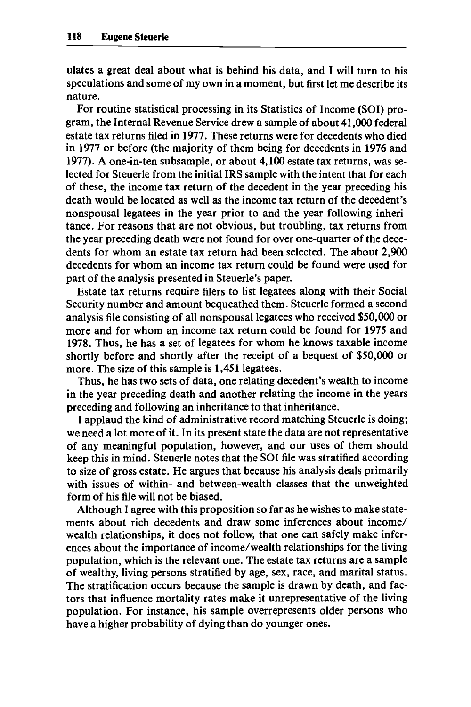ulates a great deal about what is behind his data, and I will turn to his speculations and some of my own in a moment, but first let me describe its nature.

For routine statistical processing in its Statistics of Income (SOI) program, the Internal Revenue Service drew a sample of about **41 ,000** federal estate tax returns filed in **1977.** These returns were for decedents who died in **1977** or before (the majority of them being for decedents in **1976** and **1977).** A one-in-ten subsample, or about **4,100** estate tax returns, was selected for Steuerle from the initial IRS sample with the intent that for each of these, the income tax return of the decedent in the year preceding his death would be located as well as the income tax return of the decedent's nonspousal legatees in the year prior to and the year following inheritance. For reasons that are not obvious, but troubling, tax returns from the year preceding death were not found for over one-quarter of the decedents for whom an estate tax return had been selected. The about **2,900**  decedents for whom an income tax return could be found were used for part of the analysis presented in Steuerle's paper.

Estate tax returns require filers to list legatees along with their Social Security number and amount bequeathed them. Steuerle formed a second analysis file consisting of all nonspousal legatees who received **\$50,000** or more and for whom an income tax return could be found for **1975** and **1978.** Thus, he has a set of legatees for whom he knows taxable income shortly before and shortly after the receipt of a bequest of **\$50,000** or more. The size of this sample is **1,451** legatees.

Thus, he has two sets of data, one relating decedent's wealth to income in the year preceding death and another relating the income in the years preceding and following an inheritance to that inheritance.

I applaud the kind of administrative record matching Steuerle is doing; we need a lot more of it. In its present state the data are not representative of any meaningful population, however, and our uses of them should keep this in mind. Steuerle notes that the **SO1** file was stratified according to size of gross estate. He argues that because his analysis deals primarily with issues of within- and between-wealth classes that the unweighted form of his file will not be biased.

Although I agree with this proposition so far as he wishes to make statements about rich decedents and draw some inferences about income/ wealth relationships, it does not follow, that one can safely make inferences about the importance of income/wealth relationships for the living population, which is the relevant one. The estate tax returns are a sample of wealthy, living persons stratified by age, sex, race, and marital status. The stratification occurs because the sample is drawn by death, and factors that influence mortality rates make it unrepresentative of the living population. For instance, his sample overrepresents older persons who have a higher probability of dying than do younger ones.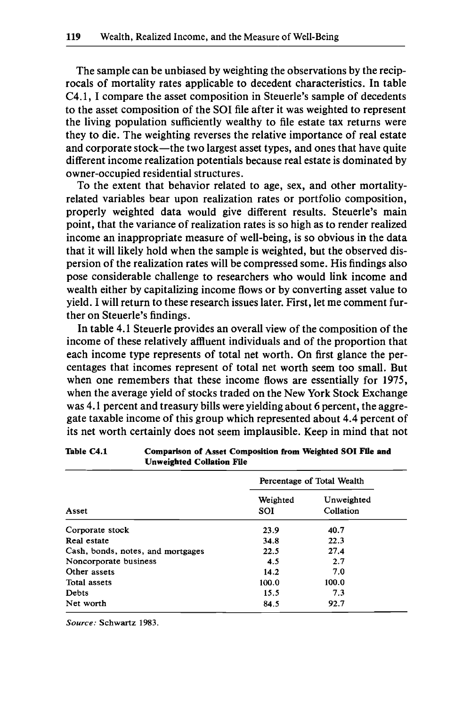The sample can be unbiased by weighting the observations by the reciprocals of mortality rates applicable to decedent characteristics. In table **C4.1,** I compare the asset composition in Steuerle's sample of decedents to the asset composition of the SO1 file after it was weighted to represent the living population sufficiently wealthy to file estate tax returns were they to die. The weighting reverses the relative importance of real estate and corporate stock—the two largest asset types, and ones that have quite different income realization potentials because real estate is dominated by owner-occupied residential structures.

To the extent that behavior related to age, sex, and other mortalityrelated variables bear upon realization rates or portfolio composition, properly weighted data would give different results. Steuerle's main point, that the variance of realization rates is so high as to render realized income an inappropriate measure of well-being, is so obvious in the data that it will likely hold when the sample is weighted, but the observed dispersion of the realization rates will be compressed some. His findings also pose considerable challenge to researchers who would link income and wealth either by capitalizing income flows or by converting asset value to yield. I will return to these research issues later. First, let me comment further on Steuerle's findings.

In table **4.1** Steuerle provides an overall view of the composition of the income of these relatively affluent individuals and of the proportion that each income type represents of total net worth. On first glance the percentages that incomes represent of total net worth seem too small. But when one remembers that these income flows are essentially for **1975,**  when the average yield of stocks traded on the New York Stock Exchange was **4.1** percent and treasury bills were yielding about 6 percent, the aggregate taxable income of this group which represented about **4.4** percent of its net worth certainly does not seem implausible. Keep in mind that not

|                                   | Percentage of Total Wealth |                         |  |  |
|-----------------------------------|----------------------------|-------------------------|--|--|
| Asset                             | Weighted<br>SOI            | Unweighted<br>Collation |  |  |
| Corporate stock                   | 23.9                       | 40.7                    |  |  |
| Real estate                       | 34.8                       | 22.3                    |  |  |
| Cash, bonds, notes, and mortgages | 22.5                       | 27.4                    |  |  |
| Noncorporate business             | 4.5                        | 2.7                     |  |  |
| Other assets                      | 14.2                       | 7.0                     |  |  |
| Total assets                      | 100.0                      | 100.0                   |  |  |
| Debts                             | 15.5                       | 7.3                     |  |  |
| Net worth                         | 84.5                       | 92.7                    |  |  |

**lsible C4.1 Comparison of Asset Composition from Weighted SO1 File and Unweighted Collation File** 

*Source:* **Schwartz 1983.**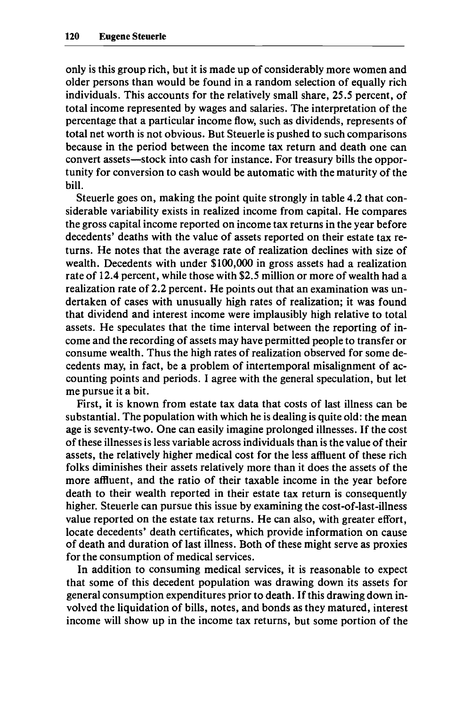only is this group rich, but it is made up of considerably more women and older persons than would be found in a random selection of equally rich individuals. This accounts for the relatively small share, **25.5** percent, of total income represented by wages and salaries. The interpretation of the percentage that a particular income flow, such as dividends, represents of total net worth is not obvious. But Steuerle is pushed to such comparisons because in the period between the income tax return and death one can convert assets—stock into cash for instance. For treasury bills the opportunity for conversion to cash would be automatic with the maturity of the bill.

Steuerle goes on, making the point quite strongly in table **4.2** that considerable variability exists in realized income from capital. He compares the gross capital income reported on income tax returns in the year before decedents' deaths with the value of assets reported on their estate tax returns. He notes that the average rate of realization declines with size of wealth. Decedents with under **\$lOO,OOO** in gross assets had a realization rate of **12.4** percent, while those with **\$2.5** million or more of wealth had a realization rate of **2.2** percent. He points out that an examination was undertaken of cases with unusually high rates of realization; it was found that dividend and interest income were implausibly high relative to total assets. He speculates that the time interval between the reporting of income and the recording of assets may have permitted people to transfer or consume wealth. Thus the high rates of realization observed for some decedents may, in fact, be a problem of intertemporal misalignment of accounting points and periods. I agree with the general speculation, but let me pursue it a bit.

First, it is known from estate tax data that costs of last illness can be substantial. The population with which he is dealing is quite old: the mean age is seventy-two. One can easily imagine prolonged illnesses. If the cost of these illnesses is less variable across individuals than is the value of their assets, the relatively higher medical cost for the less affluent of these rich folks diminishes their assets relatively more than it does the assets of the more affluent, and the ratio of their taxable income in the year before death to their wealth reported in their estate tax return is consequently higher. Steuerle can pursue this issue by examining the cost-of-last-illness value reported on the estate tax returns. He can also, with greater effort, locate decedents' death certificates, which provide information on cause of death and duration of last illness. Both of these might serve as proxies for the consumption of medical services.

In addition to consuming medical services, it is reasonable to expect that some of this decedent population was drawing down its assets for general consumption expenditures prior to death. If this drawing down involved the liquidation of bills, notes, and bonds as they matured, interest income will show up in the income tax returns, but some portion of the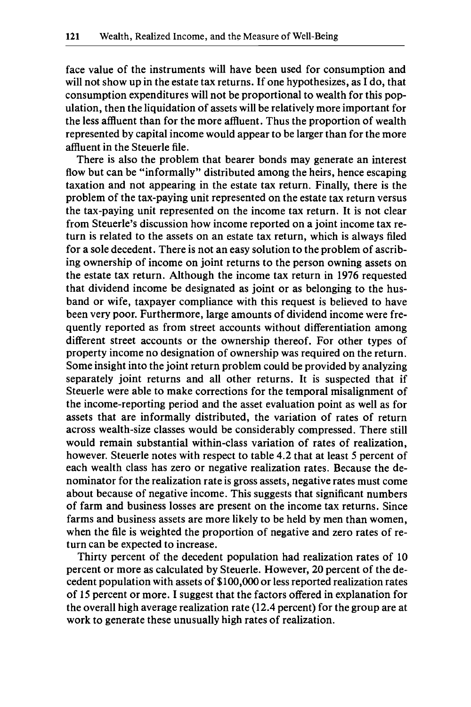face value of the instruments will have been used for consumption and will not show up in the estate tax returns. If one hypothesizes, as I do, that consumption expenditures will not be proportional to wealth for this population, then the liquidation of assets will be relatively more important for the less affluent than for the more affluent. Thus the proportion of wealth represented by capital income would appear to be larger than for the more affluent in the Steuerle file.

There is also the problem that bearer bonds may generate an interest flow but can be "informally" distributed among the heirs, hence escaping taxation and not appearing in the estate tax return. Finally, there is the problem of the tax-paying unit represented on the estate tax return versus the tax-paying unit represented on the income tax return. It is not clear from Steuerle's discussion how income reported on a joint income tax return is related to the assets on an estate tax return, which is always filed for a sole decedent. There is not an easy solution to the problem of ascribing ownership of income on joint returns to the person owning assets on the estate tax return. Although the income tax return in **1976** requested that dividend income be designated as joint or as belonging to the husband or wife, taxpayer compliance with this request is believed to have been very poor. Furthermore, large amounts of dividend income were frequently reported as from street accounts without differentiation among different street accounts or the ownership thereof. For other types of property income no designation of ownership was required on the return. Some insight into the joint return problem could be provided by analyzing separately joint returns and all other returns. It is suspected that if Steuerle were able to make corrections for the temporal misalignment of the income-reporting period and the asset evaluation point as well as for assets that are informally distributed, the variation of rates of return across wealth-size classes would be considerably compressed. There still would remain substantial within-class variation of rates of realization, however. Steuerle notes with respect to table **4.2** that at least **5** percent of each wealth class has zero or negative realization rates. Because the denominator for the realization rate is gross assets, negative rates must come about because of negative income. This suggests that significant numbers of farm and business losses are present on the income tax returns. Since farms and business assets are more likely to be held by men than women, when the file is weighted the proportion of negative and zero rates of return can be expected to increase.

Thirty percent of the decedent population had realization rates of **10**  percent or more as calculated by Steuerle. However, 20 percent of the decedent population with assets of **\$lOO,OOO** or less reported realization rates of **15** percent or more. I suggest that the factors offered in explanation for the overall high average realization rate **(12.4** percent) for the group are at work to generate these unusually high rates of realization.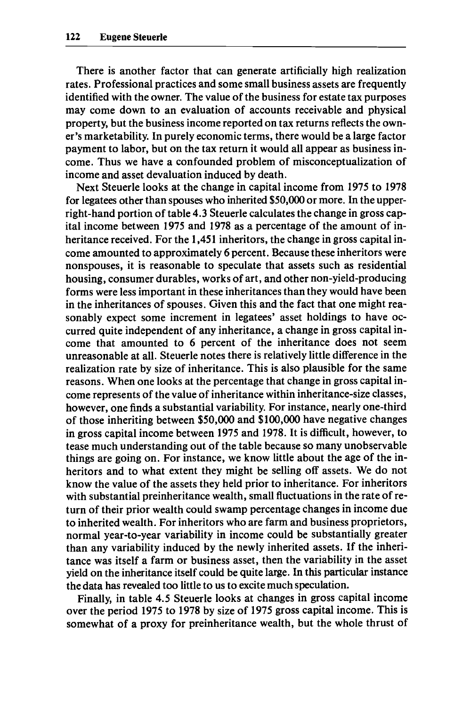There is another factor that can generate artificially high realization rates. Professional practices and some small business assets are frequently identified with the owner. The value of the business for estate tax purposes may come down to an evaluation of accounts receivable and physical property, but the business income reported on tax returns reflects the owner's marketability. In purely economic terms, there would be a large factor payment to labor, but on the tax return it would all appear as business income. Thus we have a confounded problem of misconceptualization of income and asset devaluation induced by death.

Next Steuerle looks at the change in capital income from **1975** to **1978**  for legatees other than spouses who inherited *\$50,000* or more. In the upperright-hand portion of table **4.3** Steuerle calculates the change in gross capital income between **1975** and **1978** as a percentage of the amount of inheritance received. For the **1,451** inheritors, the change in gross capital income amounted to approximately 6 percent. Because these inheritors were nonspouses, it is reasonable to speculate that assets such as residential housing, consumer durables, works of art, and other non-yield-producing forms were less important in these inheritances than they would have been in the inheritances of spouses. Given this and the fact that one might reasonably expect some increment in legatees' asset holdings to have occurred quite independent of any inheritance, a change in gross capital income that amounted to 6 percent of the inheritance does not seem unreasonable at all. Steuerle notes there is relatively little difference in the realization rate by size of inheritance. This is also plausible for the same reasons. When one looks at the percentage that change in gross capital income represents of the value of inheritance within inheritance-size classes, however, one finds a substantial variability. For instance, nearly one-third of those inheriting between *\$50,000* and **\$lOO,OOO** have negative changes in gross capital income between **1975** and **1978.** It is difficult, however, to tease much understanding out of the table because so many unobservable things are going on. For instance, we know little about the age of the inheritors and to what extent they might be selling off assets. We do not know the value of the assets they held prior to inheritance. For inheritors with substantial preinheritance wealth, small fluctuations in the rate of return of their prior wealth could swamp percentage changes in income due to inherited wealth. For inheritors who are farm and business proprietors, normal year-to-year variability in income could be substantially greater than any variability induced by the newly inherited assets. If the inheritance was itself a farm or business asset, then the variability in the asset yield on the inheritance itself could be quite large. In this particular instance the data has revealed too little to us to excite much speculation.

Finally, in table **4.5** Steuerle looks at changes in gross capital income over the period **1975** to **1978** by size of **1975** gross capital income. This is somewhat of a proxy for preinheritance wealth, but the whole thrust of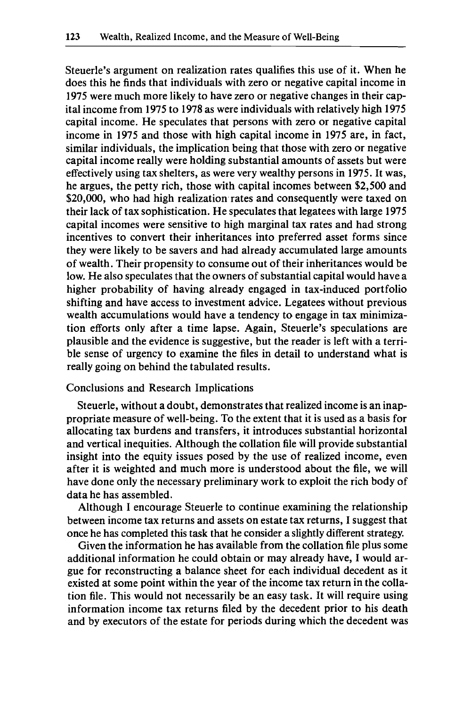Steuerle's argument on realization rates qualifies this use of it. When he does this he finds that individuals with zero or negative capital income in **1975** were much more likely to have zero or negative changes in their capital income from **1975** to **1978** as were individuals with relatively high **1975**  capital income. He speculates that persons with zero or negative capital income in **1975** and those with high capital income in **1975** are, in fact, similar individuals, the implication being that those with zero or negative capital income really were holding substantial amounts of assets but were effectively using tax shelters, as were very wealthy persons in **1975.** It was, he argues, the petty rich, those with capital incomes between *\$2,500* and \$20,000, who had high realization rates and consequently were taxed on their lack of tax sophistication. He speculates that legatees with large **1975**  capital incomes were sensitive to high marginal tax rates and had strong incentives to convert their inheritances into preferred asset forms since they were likely to be savers and had already accumulated large amounts of wealth. Their propensity to consume out of their inheritances would be low. He also speculates that the owners of substantial capital would have a higher probability of having already engaged in tax-induced portfolio shifting and have access to investment advice. Legatees without previous wealth accumulations would have a tendency to engage in tax minimization efforts only after a time lapse. Again, Steuerle's speculations are plausible and the evidence is suggestive, but the reader is left with a terrible sense of urgency to examine the files in detail to understand what is really going on behind the tabulated results.

#### Conclusions and Research Implications

Steuerle, without a doubt, demonstrates that realized income is an inappropriate measure of well-being. To the extent that it is used as a basis for allocating tax burdens and transfers, it introduces substantial horizontal and vertical inequities. Although the collation file will provide substantial insight into the equity issues posed by the use of realized income, even after it is weighted and much more is understood about the file, we will have done only the necessary preliminary work to exploit the rich body of data he has assembled.

Although I encourage Steuerle to continue examining the relationship between income tax returns and assets on estate tax returns, I suggest that once he has completed this task that he consider a slightly different strategy.

Given the information he has available from the collation file plus some additional information he could obtain or may already have, I would argue for reconstructing a balance sheet for each individual decedent as it existed at some point within the year of the income tax return in the collation file. This would not necessarily be an easy task. It will require using information income tax returns filed by the decedent prior to his death and by executors of the estate for periods during which the decedent was